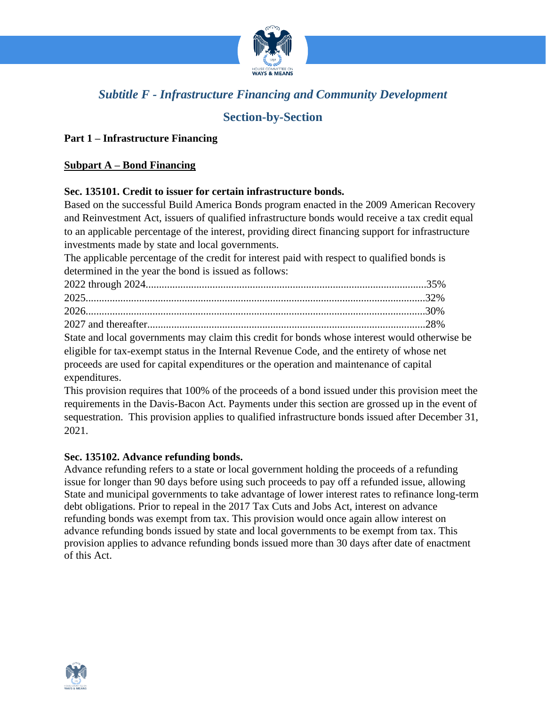

# *Subtitle F - Infrastructure Financing and Community Development*

# **Section-by-Section**

## **Part 1 – Infrastructure Financing**

### **Subpart A – Bond Financing**

#### **Sec. 135101. Credit to issuer for certain infrastructure bonds.**

Based on the successful Build America Bonds program enacted in the 2009 American Recovery and Reinvestment Act, issuers of qualified infrastructure bonds would receive a tax credit equal to an applicable percentage of the interest, providing direct financing support for infrastructure investments made by state and local governments.

The applicable percentage of the credit for interest paid with respect to qualified bonds is determined in the year the bond is issued as follows:

| State and local governments may claim this credit for bonds whose interest would otherwise be |  |
|-----------------------------------------------------------------------------------------------|--|
| eligible for tax-exempt status in the Internal Revenue Code, and the entirety of whose net    |  |
| proceeds are used for capital expenditures or the operation and maintenance of capital        |  |
| expenditures.                                                                                 |  |

This provision requires that 100% of the proceeds of a bond issued under this provision meet the requirements in the Davis-Bacon Act. Payments under this section are grossed up in the event of sequestration. This provision applies to qualified infrastructure bonds issued after December 31, 2021.

#### **Sec. 135102. Advance refunding bonds.**

Advance refunding refers to a state or local government holding the proceeds of a refunding issue for longer than 90 days before using such proceeds to pay off a refunded issue, allowing State and municipal governments to take advantage of lower interest rates to refinance long-term debt obligations. Prior to repeal in the 2017 Tax Cuts and Jobs Act, interest on advance refunding bonds was exempt from tax. This provision would once again allow interest on advance refunding bonds issued by state and local governments to be exempt from tax. This provision applies to advance refunding bonds issued more than 30 days after date of enactment of this Act.

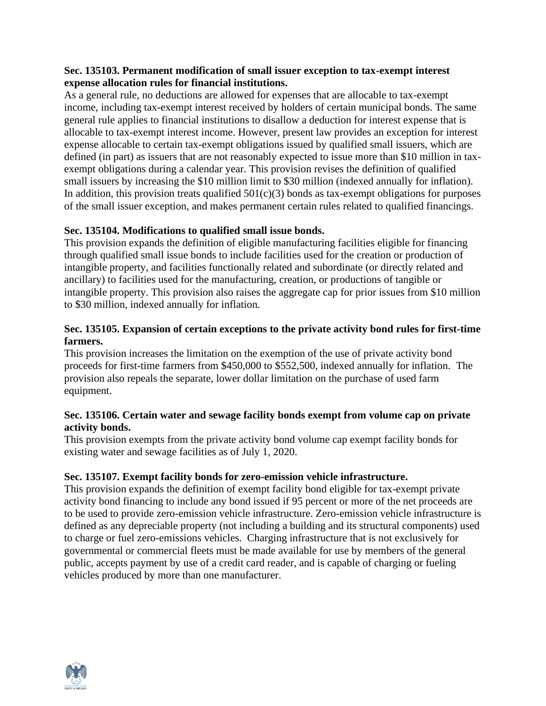### **Sec. 135103. Permanent modification of small issuer exception to tax-exempt interest expense allocation rules for financial institutions.**

As a general rule, no deductions are allowed for expenses that are allocable to tax-exempt income, including tax-exempt interest received by holders of certain municipal bonds. The same general rule applies to financial institutions to disallow a deduction for interest expense that is allocable to tax-exempt interest income. However, present law provides an exception for interest expense allocable to certain tax-exempt obligations issued by qualified small issuers, which are defined (in part) as issuers that are not reasonably expected to issue more than \$10 million in taxexempt obligations during a calendar year. This provision revises the definition of qualified small issuers by increasing the \$10 million limit to \$30 million (indexed annually for inflation). In addition, this provision treats qualified  $501(c)(3)$  bonds as tax-exempt obligations for purposes of the small issuer exception, and makes permanent certain rules related to qualified financings.

## **Sec. 135104. Modifications to qualified small issue bonds.**

This provision expands the definition of eligible manufacturing facilities eligible for financing through qualified small issue bonds to include facilities used for the creation or production of intangible property, and facilities functionally related and subordinate (or directly related and ancillary) to facilities used for the manufacturing, creation, or productions of tangible or intangible property. This provision also raises the aggregate cap for prior issues from \$10 million to \$30 million, indexed annually for inflation.

## **Sec. 135105. Expansion of certain exceptions to the private activity bond rules for first-time farmers.**

This provision increases the limitation on the exemption of the use of private activity bond proceeds for first-time farmers from \$450,000 to \$552,500, indexed annually for inflation. The provision also repeals the separate, lower dollar limitation on the purchase of used farm equipment.

#### **Sec. 135106. Certain water and sewage facility bonds exempt from volume cap on private activity bonds.**

This provision exempts from the private activity bond volume cap exempt facility bonds for existing water and sewage facilities as of July 1, 2020.

## **Sec. 135107. Exempt facility bonds for zero-emission vehicle infrastructure.**

This provision expands the definition of exempt facility bond eligible for tax-exempt private activity bond financing to include any bond issued if 95 percent or more of the net proceeds are to be used to provide zero-emission vehicle infrastructure. Zero-emission vehicle infrastructure is defined as any depreciable property (not including a building and its structural components) used to charge or fuel zero-emissions vehicles. Charging infrastructure that is not exclusively for governmental or commercial fleets must be made available for use by members of the general public, accepts payment by use of a credit card reader, and is capable of charging or fueling vehicles produced by more than one manufacturer.

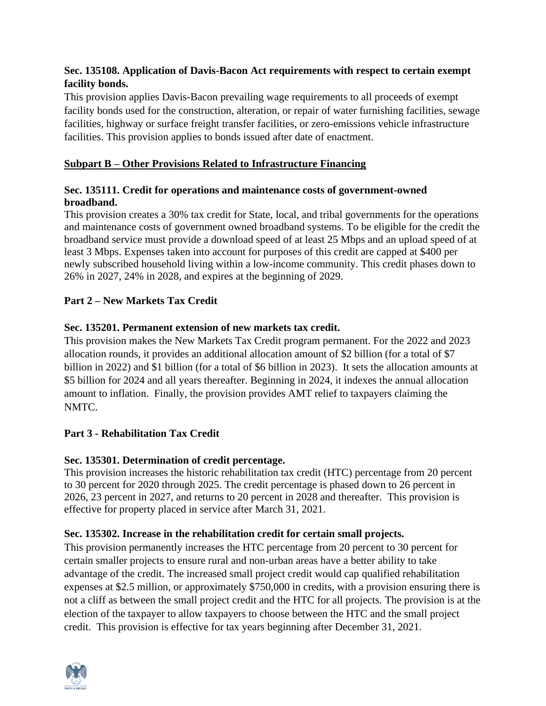## **Sec. 135108. Application of Davis-Bacon Act requirements with respect to certain exempt facility bonds.**

This provision applies Davis-Bacon prevailing wage requirements to all proceeds of exempt facility bonds used for the construction, alteration, or repair of water furnishing facilities, sewage facilities, highway or surface freight transfer facilities, or zero-emissions vehicle infrastructure facilities. This provision applies to bonds issued after date of enactment.

## **Subpart B – Other Provisions Related to Infrastructure Financing**

## **Sec. 135111. Credit for operations and maintenance costs of government-owned broadband.**

This provision creates a 30% tax credit for State, local, and tribal governments for the operations and maintenance costs of government owned broadband systems. To be eligible for the credit the broadband service must provide a download speed of at least 25 Mbps and an upload speed of at least 3 Mbps. Expenses taken into account for purposes of this credit are capped at \$400 per newly subscribed household living within a low-income community. This credit phases down to 26% in 2027, 24% in 2028, and expires at the beginning of 2029.

## **Part 2 – New Markets Tax Credit**

## **Sec. 135201. Permanent extension of new markets tax credit.**

This provision makes the New Markets Tax Credit program permanent. For the 2022 and 2023 allocation rounds, it provides an additional allocation amount of \$2 billion (for a total of \$7 billion in 2022) and \$1 billion (for a total of \$6 billion in 2023). It sets the allocation amounts at \$5 billion for 2024 and all years thereafter. Beginning in 2024, it indexes the annual allocation amount to inflation. Finally, the provision provides AMT relief to taxpayers claiming the NMTC.

## **Part 3 - Rehabilitation Tax Credit**

## **Sec. 135301. Determination of credit percentage.**

This provision increases the historic rehabilitation tax credit (HTC) percentage from 20 percent to 30 percent for 2020 through 2025. The credit percentage is phased down to 26 percent in 2026, 23 percent in 2027, and returns to 20 percent in 2028 and thereafter. This provision is effective for property placed in service after March 31, 2021.

## **Sec. 135302. Increase in the rehabilitation credit for certain small projects.**

This provision permanently increases the HTC percentage from 20 percent to 30 percent for certain smaller projects to ensure rural and non-urban areas have a better ability to take advantage of the credit. The increased small project credit would cap qualified rehabilitation expenses at \$2.5 million, or approximately \$750,000 in credits, with a provision ensuring there is not a cliff as between the small project credit and the HTC for all projects. The provision is at the election of the taxpayer to allow taxpayers to choose between the HTC and the small project credit. This provision is effective for tax years beginning after December 31, 2021.

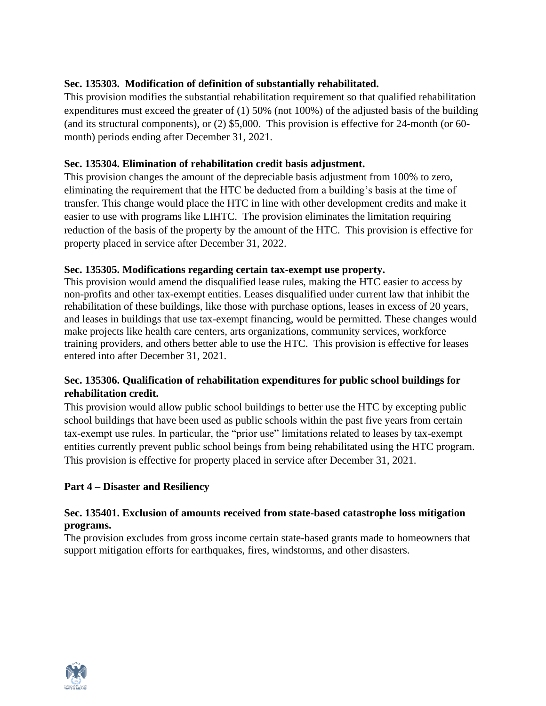## **Sec. 135303. Modification of definition of substantially rehabilitated.**

This provision modifies the substantial rehabilitation requirement so that qualified rehabilitation expenditures must exceed the greater of (1) 50% (not 100%) of the adjusted basis of the building (and its structural components), or (2) \$5,000. This provision is effective for 24-month (or 60 month) periods ending after December 31, 2021.

## **Sec. 135304. Elimination of rehabilitation credit basis adjustment.**

This provision changes the amount of the depreciable basis adjustment from 100% to zero, eliminating the requirement that the HTC be deducted from a building's basis at the time of transfer. This change would place the HTC in line with other development credits and make it easier to use with programs like LIHTC. The provision eliminates the limitation requiring reduction of the basis of the property by the amount of the HTC. This provision is effective for property placed in service after December 31, 2022.

## **Sec. 135305. Modifications regarding certain tax-exempt use property.**

This provision would amend the disqualified lease rules, making the HTC easier to access by non-profits and other tax-exempt entities. Leases disqualified under current law that inhibit the rehabilitation of these buildings, like those with purchase options, leases in excess of 20 years, and leases in buildings that use tax-exempt financing, would be permitted. These changes would make projects like health care centers, arts organizations, community services, workforce training providers, and others better able to use the HTC. This provision is effective for leases entered into after December 31, 2021.

## **Sec. 135306. Qualification of rehabilitation expenditures for public school buildings for rehabilitation credit.**

This provision would allow public school buildings to better use the HTC by excepting public school buildings that have been used as public schools within the past five years from certain tax-exempt use rules. In particular, the "prior use" limitations related to leases by tax-exempt entities currently prevent public school beings from being rehabilitated using the HTC program. This provision is effective for property placed in service after December 31, 2021.

## **Part 4 – Disaster and Resiliency**

## **Sec. 135401. Exclusion of amounts received from state-based catastrophe loss mitigation programs.**

The provision excludes from gross income certain state-based grants made to homeowners that support mitigation efforts for earthquakes, fires, windstorms, and other disasters.

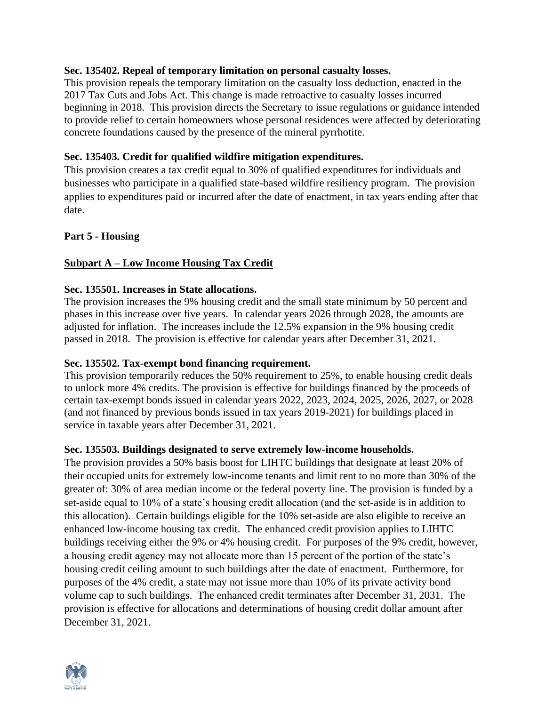#### **Sec. 135402. Repeal of temporary limitation on personal casualty losses.**

This provision repeals the temporary limitation on the casualty loss deduction, enacted in the 2017 Tax Cuts and Jobs Act. This change is made retroactive to casualty losses incurred beginning in 2018. This provision directs the Secretary to issue regulations or guidance intended to provide relief to certain homeowners whose personal residences were affected by deteriorating concrete foundations caused by the presence of the mineral pyrrhotite.

#### **Sec. 135403. Credit for qualified wildfire mitigation expenditures.**

This provision creates a tax credit equal to 30% of qualified expenditures for individuals and businesses who participate in a qualified state-based wildfire resiliency program. The provision applies to expenditures paid or incurred after the date of enactment, in tax years ending after that date.

#### **Part 5 - Housing**

## **Subpart A – Low Income Housing Tax Credit**

#### **Sec. 135501. Increases in State allocations.**

The provision increases the 9% housing credit and the small state minimum by 50 percent and phases in this increase over five years. In calendar years 2026 through 2028, the amounts are adjusted for inflation. The increases include the 12.5% expansion in the 9% housing credit passed in 2018. The provision is effective for calendar years after December 31, 2021.

#### **Sec. 135502. Tax-exempt bond financing requirement.**

This provision temporarily reduces the 50% requirement to 25%, to enable housing credit deals to unlock more 4% credits. The provision is effective for buildings financed by the proceeds of certain tax-exempt bonds issued in calendar years 2022, 2023, 2024, 2025, 2026, 2027, or 2028 (and not financed by previous bonds issued in tax years 2019-2021) for buildings placed in service in taxable years after December 31, 2021.

#### **Sec. 135503. Buildings designated to serve extremely low-income households.**

The provision provides a 50% basis boost for LIHTC buildings that designate at least 20% of their occupied units for extremely low-income tenants and limit rent to no more than 30% of the greater of: 30% of area median income or the federal poverty line. The provision is funded by a set-aside equal to 10% of a state's housing credit allocation (and the set-aside is in addition to this allocation). Certain buildings eligible for the 10% set-aside are also eligible to receive an enhanced low-income housing tax credit. The enhanced credit provision applies to LIHTC buildings receiving either the 9% or 4% housing credit. For purposes of the 9% credit, however, a housing credit agency may not allocate more than 15 percent of the portion of the state's housing credit ceiling amount to such buildings after the date of enactment. Furthermore, for purposes of the 4% credit, a state may not issue more than 10% of its private activity bond volume cap to such buildings. The enhanced credit terminates after December 31, 2031. The provision is effective for allocations and determinations of housing credit dollar amount after December 31, 2021.

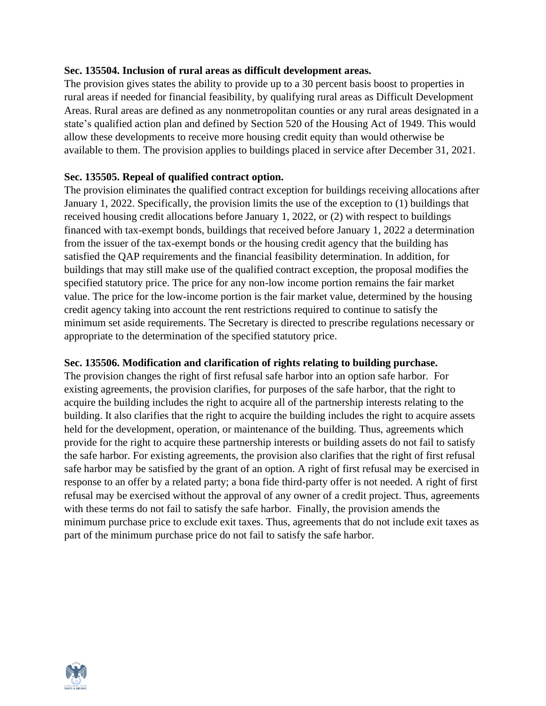### **Sec. 135504. Inclusion of rural areas as difficult development areas.**

The provision gives states the ability to provide up to a 30 percent basis boost to properties in rural areas if needed for financial feasibility, by qualifying rural areas as Difficult Development Areas. Rural areas are defined as any nonmetropolitan counties or any rural areas designated in a state's qualified action plan and defined by Section 520 of the Housing Act of 1949. This would allow these developments to receive more housing credit equity than would otherwise be available to them. The provision applies to buildings placed in service after December 31, 2021.

### **Sec. 135505. Repeal of qualified contract option.**

The provision eliminates the qualified contract exception for buildings receiving allocations after January 1, 2022. Specifically, the provision limits the use of the exception to (1) buildings that received housing credit allocations before January 1, 2022, or (2) with respect to buildings financed with tax-exempt bonds, buildings that received before January 1, 2022 a determination from the issuer of the tax-exempt bonds or the housing credit agency that the building has satisfied the QAP requirements and the financial feasibility determination. In addition, for buildings that may still make use of the qualified contract exception, the proposal modifies the specified statutory price. The price for any non-low income portion remains the fair market value. The price for the low-income portion is the fair market value, determined by the housing credit agency taking into account the rent restrictions required to continue to satisfy the minimum set aside requirements. The Secretary is directed to prescribe regulations necessary or appropriate to the determination of the specified statutory price.

## **Sec. 135506. Modification and clarification of rights relating to building purchase.**

The provision changes the right of first refusal safe harbor into an option safe harbor. For existing agreements, the provision clarifies, for purposes of the safe harbor, that the right to acquire the building includes the right to acquire all of the partnership interests relating to the building. It also clarifies that the right to acquire the building includes the right to acquire assets held for the development, operation, or maintenance of the building. Thus, agreements which provide for the right to acquire these partnership interests or building assets do not fail to satisfy the safe harbor. For existing agreements, the provision also clarifies that the right of first refusal safe harbor may be satisfied by the grant of an option. A right of first refusal may be exercised in response to an offer by a related party; a bona fide third-party offer is not needed. A right of first refusal may be exercised without the approval of any owner of a credit project. Thus, agreements with these terms do not fail to satisfy the safe harbor. Finally, the provision amends the minimum purchase price to exclude exit taxes. Thus, agreements that do not include exit taxes as part of the minimum purchase price do not fail to satisfy the safe harbor.

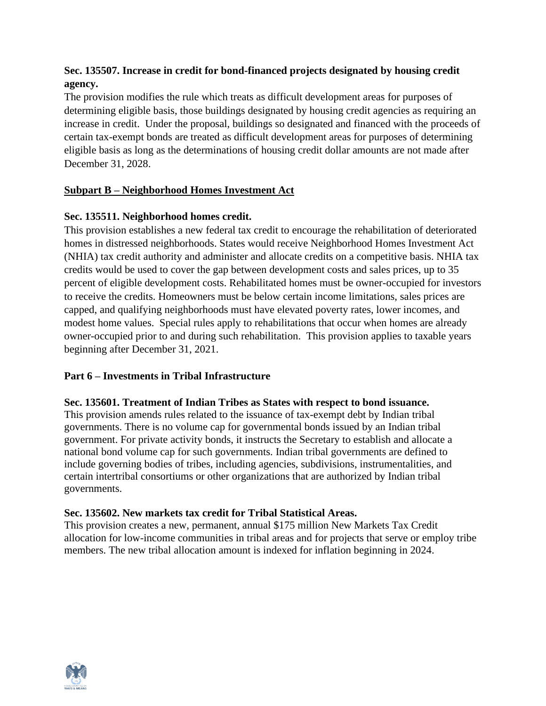## **Sec. 135507. Increase in credit for bond-financed projects designated by housing credit agency.**

The provision modifies the rule which treats as difficult development areas for purposes of determining eligible basis, those buildings designated by housing credit agencies as requiring an increase in credit. Under the proposal, buildings so designated and financed with the proceeds of certain tax-exempt bonds are treated as difficult development areas for purposes of determining eligible basis as long as the determinations of housing credit dollar amounts are not made after December 31, 2028.

## **Subpart B – Neighborhood Homes Investment Act**

## **Sec. 135511. Neighborhood homes credit.**

This provision establishes a new federal tax credit to encourage the rehabilitation of deteriorated homes in distressed neighborhoods. States would receive Neighborhood Homes Investment Act (NHIA) tax credit authority and administer and allocate credits on a competitive basis. NHIA tax credits would be used to cover the gap between development costs and sales prices, up to 35 percent of eligible development costs. Rehabilitated homes must be owner-occupied for investors to receive the credits. Homeowners must be below certain income limitations, sales prices are capped, and qualifying neighborhoods must have elevated poverty rates, lower incomes, and modest home values. Special rules apply to rehabilitations that occur when homes are already owner-occupied prior to and during such rehabilitation. This provision applies to taxable years beginning after December 31, 2021.

## **Part 6 – Investments in Tribal Infrastructure**

## **Sec. 135601. Treatment of Indian Tribes as States with respect to bond issuance.**

This provision amends rules related to the issuance of tax-exempt debt by Indian tribal governments. There is no volume cap for governmental bonds issued by an Indian tribal government. For private activity bonds, it instructs the Secretary to establish and allocate a national bond volume cap for such governments. Indian tribal governments are defined to include governing bodies of tribes, including agencies, subdivisions, instrumentalities, and certain intertribal consortiums or other organizations that are authorized by Indian tribal governments.

## **Sec. 135602. New markets tax credit for Tribal Statistical Areas.**

This provision creates a new, permanent, annual \$175 million New Markets Tax Credit allocation for low-income communities in tribal areas and for projects that serve or employ tribe members. The new tribal allocation amount is indexed for inflation beginning in 2024.

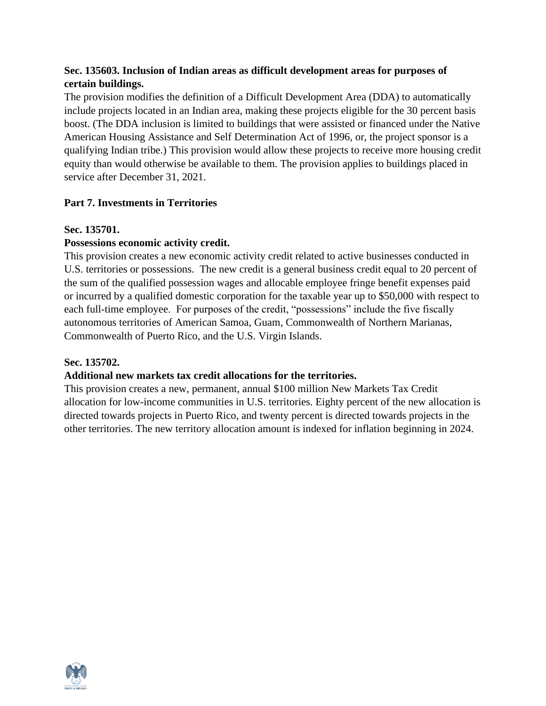## **Sec. 135603. Inclusion of Indian areas as difficult development areas for purposes of certain buildings.**

The provision modifies the definition of a Difficult Development Area (DDA) to automatically include projects located in an Indian area, making these projects eligible for the 30 percent basis boost. (The DDA inclusion is limited to buildings that were assisted or financed under the Native American Housing Assistance and Self Determination Act of 1996, or, the project sponsor is a qualifying Indian tribe.) This provision would allow these projects to receive more housing credit equity than would otherwise be available to them. The provision applies to buildings placed in service after December 31, 2021.

## **Part 7. Investments in Territories**

## **Sec. 135701.**

## **Possessions economic activity credit.**

This provision creates a new economic activity credit related to active businesses conducted in U.S. territories or possessions. The new credit is a general business credit equal to 20 percent of the sum of the qualified possession wages and allocable employee fringe benefit expenses paid or incurred by a qualified domestic corporation for the taxable year up to \$50,000 with respect to each full-time employee. For purposes of the credit, "possessions" include the five fiscally autonomous territories of American Samoa, Guam, Commonwealth of Northern Marianas, Commonwealth of Puerto Rico, and the U.S. Virgin Islands.

## **Sec. 135702.**

## **Additional new markets tax credit allocations for the territories.**

This provision creates a new, permanent, annual \$100 million New Markets Tax Credit allocation for low-income communities in U.S. territories. Eighty percent of the new allocation is directed towards projects in Puerto Rico, and twenty percent is directed towards projects in the other territories. The new territory allocation amount is indexed for inflation beginning in 2024.

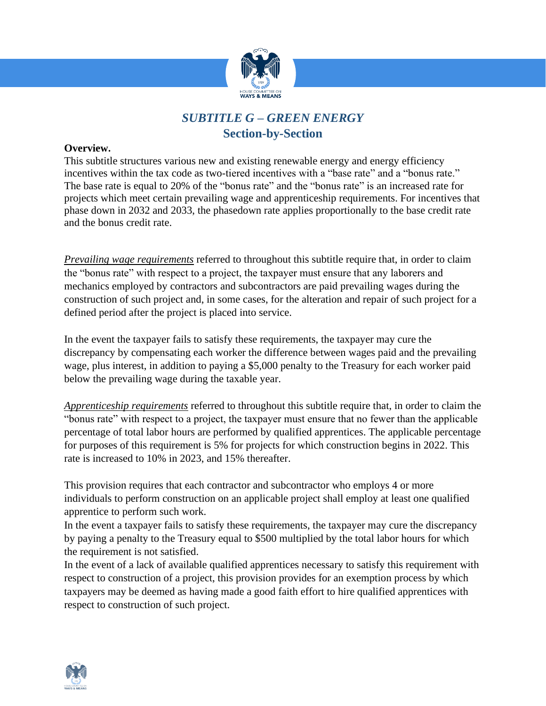

# *SUBTITLE G – GREEN ENERGY*  **Section-by-Section**

### **Overview.**

This subtitle structures various new and existing renewable energy and energy efficiency incentives within the tax code as two-tiered incentives with a "base rate" and a "bonus rate." The base rate is equal to 20% of the "bonus rate" and the "bonus rate" is an increased rate for projects which meet certain prevailing wage and apprenticeship requirements. For incentives that phase down in 2032 and 2033, the phasedown rate applies proportionally to the base credit rate and the bonus credit rate.

*Prevailing wage requirements* referred to throughout this subtitle require that, in order to claim the "bonus rate" with respect to a project, the taxpayer must ensure that any laborers and mechanics employed by contractors and subcontractors are paid prevailing wages during the construction of such project and, in some cases, for the alteration and repair of such project for a defined period after the project is placed into service.

In the event the taxpayer fails to satisfy these requirements, the taxpayer may cure the discrepancy by compensating each worker the difference between wages paid and the prevailing wage, plus interest, in addition to paying a \$5,000 penalty to the Treasury for each worker paid below the prevailing wage during the taxable year.

*Apprenticeship requirements* referred to throughout this subtitle require that, in order to claim the "bonus rate" with respect to a project, the taxpayer must ensure that no fewer than the applicable percentage of total labor hours are performed by qualified apprentices. The applicable percentage for purposes of this requirement is 5% for projects for which construction begins in 2022. This rate is increased to 10% in 2023, and 15% thereafter.

This provision requires that each contractor and subcontractor who employs 4 or more individuals to perform construction on an applicable project shall employ at least one qualified apprentice to perform such work.

In the event a taxpayer fails to satisfy these requirements, the taxpayer may cure the discrepancy by paying a penalty to the Treasury equal to \$500 multiplied by the total labor hours for which the requirement is not satisfied.

In the event of a lack of available qualified apprentices necessary to satisfy this requirement with respect to construction of a project, this provision provides for an exemption process by which taxpayers may be deemed as having made a good faith effort to hire qualified apprentices with respect to construction of such project.

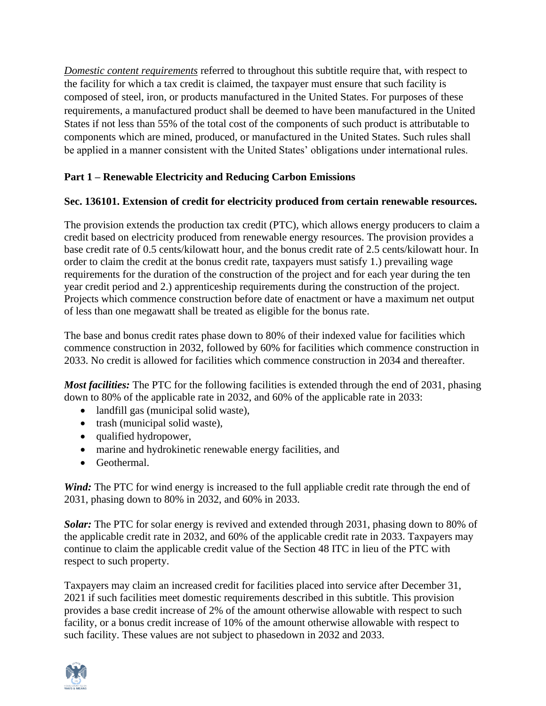*Domestic content requirements* referred to throughout this subtitle require that, with respect to the facility for which a tax credit is claimed, the taxpayer must ensure that such facility is composed of steel, iron, or products manufactured in the United States. For purposes of these requirements, a manufactured product shall be deemed to have been manufactured in the United States if not less than 55% of the total cost of the components of such product is attributable to components which are mined, produced, or manufactured in the United States. Such rules shall be applied in a manner consistent with the United States' obligations under international rules.

## **Part 1 – Renewable Electricity and Reducing Carbon Emissions**

## **Sec. 136101. Extension of credit for electricity produced from certain renewable resources.**

The provision extends the production tax credit (PTC), which allows energy producers to claim a credit based on electricity produced from renewable energy resources. The provision provides a base credit rate of 0.5 cents/kilowatt hour, and the bonus credit rate of 2.5 cents/kilowatt hour. In order to claim the credit at the bonus credit rate, taxpayers must satisfy 1.) prevailing wage requirements for the duration of the construction of the project and for each year during the ten year credit period and 2.) apprenticeship requirements during the construction of the project. Projects which commence construction before date of enactment or have a maximum net output of less than one megawatt shall be treated as eligible for the bonus rate.

The base and bonus credit rates phase down to 80% of their indexed value for facilities which commence construction in 2032, followed by 60% for facilities which commence construction in 2033. No credit is allowed for facilities which commence construction in 2034 and thereafter.

*Most facilities:* The PTC for the following facilities is extended through the end of 2031, phasing down to 80% of the applicable rate in 2032, and 60% of the applicable rate in 2033:

- landfill gas (municipal solid waste),
- trash (municipal solid waste),
- qualified hydropower,
- marine and hydrokinetic renewable energy facilities, and
- Geothermal.

*Wind:* The PTC for wind energy is increased to the full appliable credit rate through the end of 2031, phasing down to 80% in 2032, and 60% in 2033.

*Solar:* The PTC for solar energy is revived and extended through 2031, phasing down to 80% of the applicable credit rate in 2032, and 60% of the applicable credit rate in 2033. Taxpayers may continue to claim the applicable credit value of the Section 48 ITC in lieu of the PTC with respect to such property.

Taxpayers may claim an increased credit for facilities placed into service after December 31, 2021 if such facilities meet domestic requirements described in this subtitle. This provision provides a base credit increase of 2% of the amount otherwise allowable with respect to such facility, or a bonus credit increase of 10% of the amount otherwise allowable with respect to such facility. These values are not subject to phasedown in 2032 and 2033.

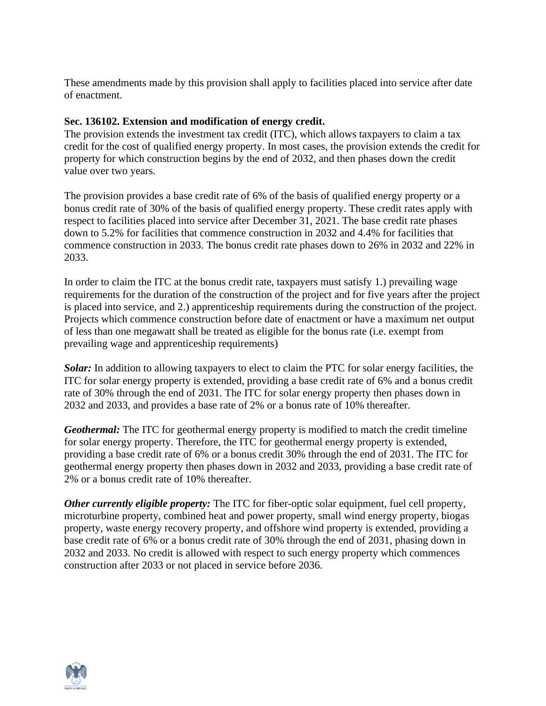These amendments made by this provision shall apply to facilities placed into service after date of enactment.

### **Sec. 136102. Extension and modification of energy credit.**

The provision extends the investment tax credit (ITC), which allows taxpayers to claim a tax credit for the cost of qualified energy property. In most cases, the provision extends the credit for property for which construction begins by the end of 2032, and then phases down the credit value over two years.

The provision provides a base credit rate of 6% of the basis of qualified energy property or a bonus credit rate of 30% of the basis of qualified energy property. These credit rates apply with respect to facilities placed into service after December 31, 2021. The base credit rate phases down to 5.2% for facilities that commence construction in 2032 and 4.4% for facilities that commence construction in 2033. The bonus credit rate phases down to 26% in 2032 and 22% in 2033.

In order to claim the ITC at the bonus credit rate, taxpayers must satisfy 1.) prevailing wage requirements for the duration of the construction of the project and for five years after the project is placed into service, and 2.) apprenticeship requirements during the construction of the project. Projects which commence construction before date of enactment or have a maximum net output of less than one megawatt shall be treated as eligible for the bonus rate (i.e. exempt from prevailing wage and apprenticeship requirements)

*Solar:* In addition to allowing taxpayers to elect to claim the PTC for solar energy facilities, the ITC for solar energy property is extended, providing a base credit rate of 6% and a bonus credit rate of 30% through the end of 2031. The ITC for solar energy property then phases down in 2032 and 2033, and provides a base rate of 2% or a bonus rate of 10% thereafter.

*Geothermal:* The ITC for geothermal energy property is modified to match the credit timeline for solar energy property. Therefore, the ITC for geothermal energy property is extended, providing a base credit rate of 6% or a bonus credit 30% through the end of 2031. The ITC for geothermal energy property then phases down in 2032 and 2033, providing a base credit rate of 2% or a bonus credit rate of 10% thereafter.

*Other currently eligible property:* The ITC for fiber-optic solar equipment, fuel cell property, microturbine property, combined heat and power property, small wind energy property, biogas property, waste energy recovery property, and offshore wind property is extended, providing a base credit rate of 6% or a bonus credit rate of 30% through the end of 2031, phasing down in 2032 and 2033. No credit is allowed with respect to such energy property which commences construction after 2033 or not placed in service before 2036.

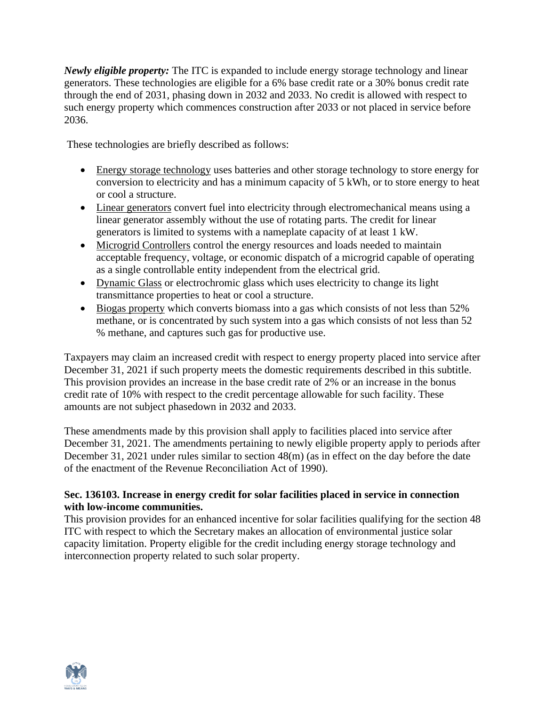*Newly eligible property:* The ITC is expanded to include energy storage technology and linear generators. These technologies are eligible for a 6% base credit rate or a 30% bonus credit rate through the end of 2031, phasing down in 2032 and 2033. No credit is allowed with respect to such energy property which commences construction after 2033 or not placed in service before 2036.

These technologies are briefly described as follows:

- Energy storage technology uses batteries and other storage technology to store energy for conversion to electricity and has a minimum capacity of 5 kWh, or to store energy to heat or cool a structure.
- Linear generators convert fuel into electricity through electromechanical means using a linear generator assembly without the use of rotating parts. The credit for linear generators is limited to systems with a nameplate capacity of at least 1 kW.
- Microgrid Controllers control the energy resources and loads needed to maintain acceptable frequency, voltage, or economic dispatch of a microgrid capable of operating as a single controllable entity independent from the electrical grid.
- Dynamic Glass or electrochromic glass which uses electricity to change its light transmittance properties to heat or cool a structure.
- Biogas property which converts biomass into a gas which consists of not less than 52% methane, or is concentrated by such system into a gas which consists of not less than 52 % methane, and captures such gas for productive use.

Taxpayers may claim an increased credit with respect to energy property placed into service after December 31, 2021 if such property meets the domestic requirements described in this subtitle. This provision provides an increase in the base credit rate of 2% or an increase in the bonus credit rate of 10% with respect to the credit percentage allowable for such facility. These amounts are not subject phasedown in 2032 and 2033.

These amendments made by this provision shall apply to facilities placed into service after December 31, 2021. The amendments pertaining to newly eligible property apply to periods after December 31, 2021 under rules similar to section 48(m) (as in effect on the day before the date of the enactment of the Revenue Reconciliation Act of 1990).

## **Sec. 136103. Increase in energy credit for solar facilities placed in service in connection with low-income communities.**

This provision provides for an enhanced incentive for solar facilities qualifying for the section 48 ITC with respect to which the Secretary makes an allocation of environmental justice solar capacity limitation. Property eligible for the credit including energy storage technology and interconnection property related to such solar property.

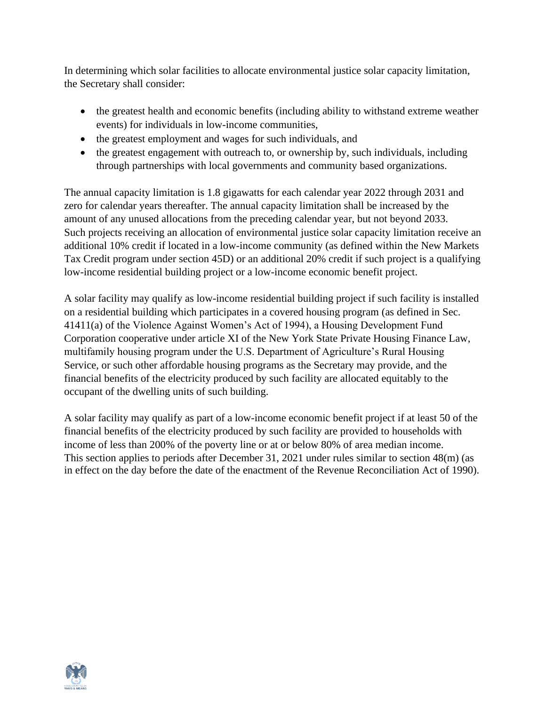In determining which solar facilities to allocate environmental justice solar capacity limitation, the Secretary shall consider:

- the greatest health and economic benefits (including ability to withstand extreme weather events) for individuals in low-income communities,
- the greatest employment and wages for such individuals, and
- the greatest engagement with outreach to, or ownership by, such individuals, including through partnerships with local governments and community based organizations.

The annual capacity limitation is 1.8 gigawatts for each calendar year 2022 through 2031 and zero for calendar years thereafter. The annual capacity limitation shall be increased by the amount of any unused allocations from the preceding calendar year, but not beyond 2033. Such projects receiving an allocation of environmental justice solar capacity limitation receive an additional 10% credit if located in a low-income community (as defined within the New Markets Tax Credit program under section 45D) or an additional 20% credit if such project is a qualifying low-income residential building project or a low-income economic benefit project.

A solar facility may qualify as low-income residential building project if such facility is installed on a residential building which participates in a covered housing program (as defined in Sec. 41411(a) of the Violence Against Women's Act of 1994), a Housing Development Fund Corporation cooperative under article XI of the New York State Private Housing Finance Law, multifamily housing program under the U.S. Department of Agriculture's Rural Housing Service, or such other affordable housing programs as the Secretary may provide, and the financial benefits of the electricity produced by such facility are allocated equitably to the occupant of the dwelling units of such building.

A solar facility may qualify as part of a low-income economic benefit project if at least 50 of the financial benefits of the electricity produced by such facility are provided to households with income of less than 200% of the poverty line or at or below 80% of area median income. This section applies to periods after December 31, 2021 under rules similar to section 48(m) (as in effect on the day before the date of the enactment of the Revenue Reconciliation Act of 1990).

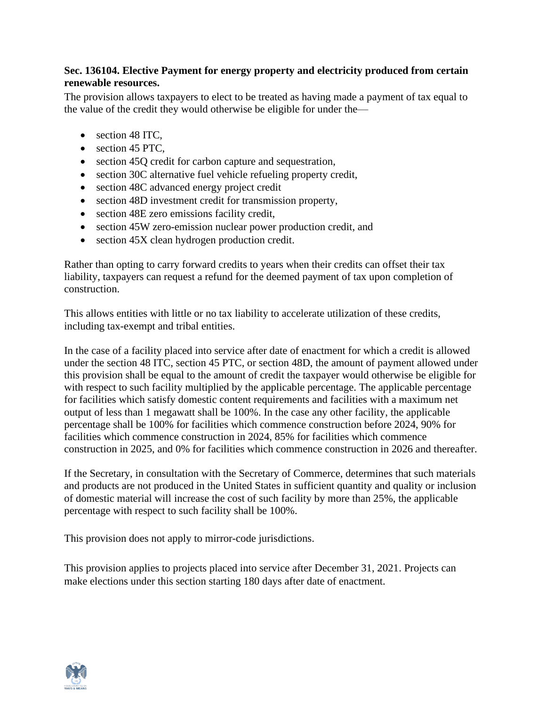## **Sec. 136104. Elective Payment for energy property and electricity produced from certain renewable resources.**

The provision allows taxpayers to elect to be treated as having made a payment of tax equal to the value of the credit they would otherwise be eligible for under the—

- section 48 ITC,
- section 45 PTC.
- section 45Q credit for carbon capture and sequestration,
- section 30C alternative fuel vehicle refueling property credit,
- section 48C advanced energy project credit
- section 48D investment credit for transmission property,
- section 48E zero emissions facility credit,
- section 45W zero-emission nuclear power production credit, and
- section 45X clean hydrogen production credit.

Rather than opting to carry forward credits to years when their credits can offset their tax liability, taxpayers can request a refund for the deemed payment of tax upon completion of construction.

This allows entities with little or no tax liability to accelerate utilization of these credits, including tax-exempt and tribal entities.

In the case of a facility placed into service after date of enactment for which a credit is allowed under the section 48 ITC, section 45 PTC, or section 48D, the amount of payment allowed under this provision shall be equal to the amount of credit the taxpayer would otherwise be eligible for with respect to such facility multiplied by the applicable percentage. The applicable percentage for facilities which satisfy domestic content requirements and facilities with a maximum net output of less than 1 megawatt shall be 100%. In the case any other facility, the applicable percentage shall be 100% for facilities which commence construction before 2024, 90% for facilities which commence construction in 2024, 85% for facilities which commence construction in 2025, and 0% for facilities which commence construction in 2026 and thereafter.

If the Secretary, in consultation with the Secretary of Commerce, determines that such materials and products are not produced in the United States in sufficient quantity and quality or inclusion of domestic material will increase the cost of such facility by more than 25%, the applicable percentage with respect to such facility shall be 100%.

This provision does not apply to mirror-code jurisdictions.

This provision applies to projects placed into service after December 31, 2021. Projects can make elections under this section starting 180 days after date of enactment.

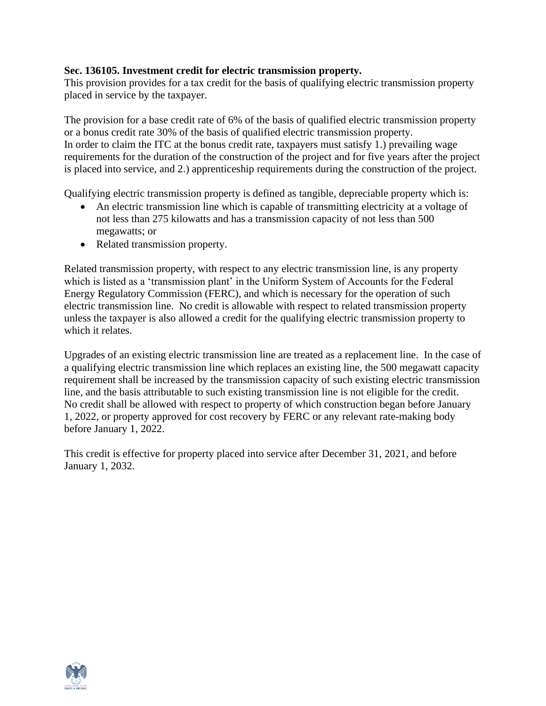### **Sec. 136105. Investment credit for electric transmission property.**

This provision provides for a tax credit for the basis of qualifying electric transmission property placed in service by the taxpayer.

The provision for a base credit rate of 6% of the basis of qualified electric transmission property or a bonus credit rate 30% of the basis of qualified electric transmission property. In order to claim the ITC at the bonus credit rate, taxpayers must satisfy 1.) prevailing wage requirements for the duration of the construction of the project and for five years after the project is placed into service, and 2.) apprenticeship requirements during the construction of the project.

Qualifying electric transmission property is defined as tangible, depreciable property which is:

- An electric transmission line which is capable of transmitting electricity at a voltage of not less than 275 kilowatts and has a transmission capacity of not less than 500 megawatts; or
- Related transmission property.

Related transmission property, with respect to any electric transmission line, is any property which is listed as a 'transmission plant' in the Uniform System of Accounts for the Federal Energy Regulatory Commission (FERC), and which is necessary for the operation of such electric transmission line. No credit is allowable with respect to related transmission property unless the taxpayer is also allowed a credit for the qualifying electric transmission property to which it relates.

Upgrades of an existing electric transmission line are treated as a replacement line. In the case of a qualifying electric transmission line which replaces an existing line, the 500 megawatt capacity requirement shall be increased by the transmission capacity of such existing electric transmission line, and the basis attributable to such existing transmission line is not eligible for the credit. No credit shall be allowed with respect to property of which construction began before January 1, 2022, or property approved for cost recovery by FERC or any relevant rate-making body before January 1, 2022.

This credit is effective for property placed into service after December 31, 2021, and before January 1, 2032.

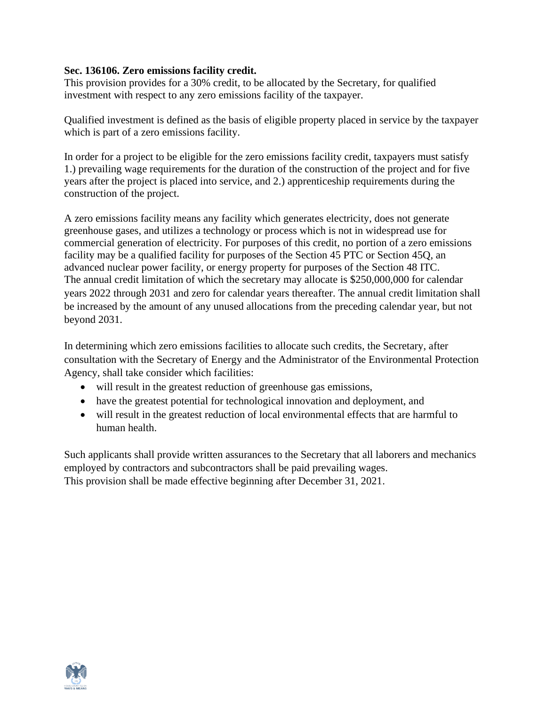### **Sec. 136106. Zero emissions facility credit.**

This provision provides for a 30% credit, to be allocated by the Secretary, for qualified investment with respect to any zero emissions facility of the taxpayer.

Qualified investment is defined as the basis of eligible property placed in service by the taxpayer which is part of a zero emissions facility.

In order for a project to be eligible for the zero emissions facility credit, taxpayers must satisfy 1.) prevailing wage requirements for the duration of the construction of the project and for five years after the project is placed into service, and 2.) apprenticeship requirements during the construction of the project.

A zero emissions facility means any facility which generates electricity, does not generate greenhouse gases, and utilizes a technology or process which is not in widespread use for commercial generation of electricity. For purposes of this credit, no portion of a zero emissions facility may be a qualified facility for purposes of the Section 45 PTC or Section 45Q, an advanced nuclear power facility, or energy property for purposes of the Section 48 ITC. The annual credit limitation of which the secretary may allocate is \$250,000,000 for calendar years 2022 through 2031 and zero for calendar years thereafter. The annual credit limitation shall be increased by the amount of any unused allocations from the preceding calendar year, but not beyond 2031.

In determining which zero emissions facilities to allocate such credits, the Secretary, after consultation with the Secretary of Energy and the Administrator of the Environmental Protection Agency, shall take consider which facilities:

- will result in the greatest reduction of greenhouse gas emissions,
- have the greatest potential for technological innovation and deployment, and
- will result in the greatest reduction of local environmental effects that are harmful to human health.

Such applicants shall provide written assurances to the Secretary that all laborers and mechanics employed by contractors and subcontractors shall be paid prevailing wages. This provision shall be made effective beginning after December 31, 2021.

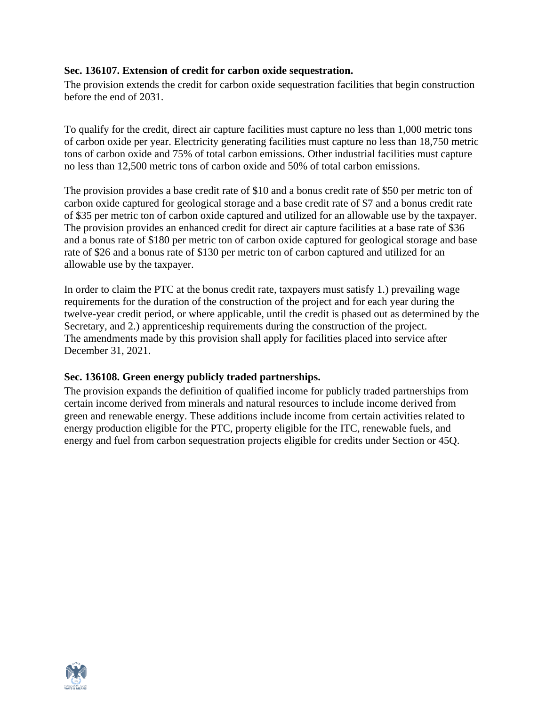#### **Sec. 136107. Extension of credit for carbon oxide sequestration.**

The provision extends the credit for carbon oxide sequestration facilities that begin construction before the end of 2031.

To qualify for the credit, direct air capture facilities must capture no less than 1,000 metric tons of carbon oxide per year. Electricity generating facilities must capture no less than 18,750 metric tons of carbon oxide and 75% of total carbon emissions. Other industrial facilities must capture no less than 12,500 metric tons of carbon oxide and 50% of total carbon emissions.

The provision provides a base credit rate of \$10 and a bonus credit rate of \$50 per metric ton of carbon oxide captured for geological storage and a base credit rate of \$7 and a bonus credit rate of \$35 per metric ton of carbon oxide captured and utilized for an allowable use by the taxpayer. The provision provides an enhanced credit for direct air capture facilities at a base rate of \$36 and a bonus rate of \$180 per metric ton of carbon oxide captured for geological storage and base rate of \$26 and a bonus rate of \$130 per metric ton of carbon captured and utilized for an allowable use by the taxpayer.

In order to claim the PTC at the bonus credit rate, taxpayers must satisfy 1.) prevailing wage requirements for the duration of the construction of the project and for each year during the twelve-year credit period, or where applicable, until the credit is phased out as determined by the Secretary, and 2.) apprenticeship requirements during the construction of the project. The amendments made by this provision shall apply for facilities placed into service after December 31, 2021.

#### **Sec. 136108. Green energy publicly traded partnerships.**

The provision expands the definition of qualified income for publicly traded partnerships from certain income derived from minerals and natural resources to include income derived from green and renewable energy. These additions include income from certain activities related to energy production eligible for the PTC, property eligible for the ITC, renewable fuels, and energy and fuel from carbon sequestration projects eligible for credits under Section or 45Q.

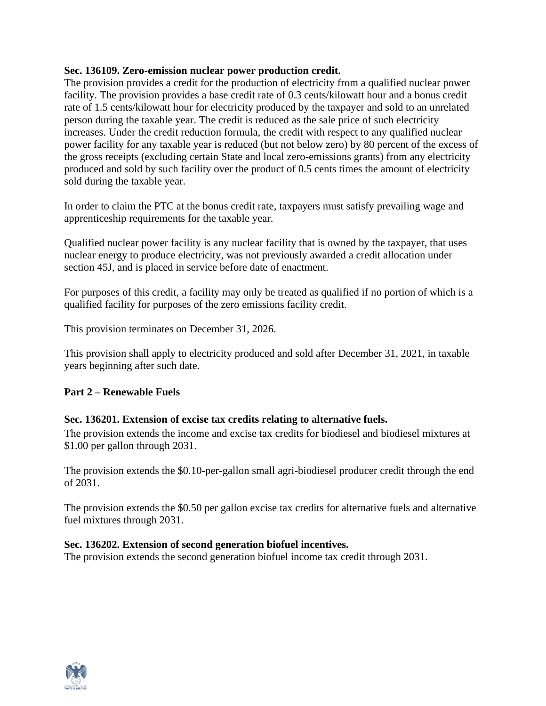#### **Sec. 136109. Zero-emission nuclear power production credit.**

The provision provides a credit for the production of electricity from a qualified nuclear power facility. The provision provides a base credit rate of 0.3 cents/kilowatt hour and a bonus credit rate of 1.5 cents/kilowatt hour for electricity produced by the taxpayer and sold to an unrelated person during the taxable year. The credit is reduced as the sale price of such electricity increases. Under the credit reduction formula, the credit with respect to any qualified nuclear power facility for any taxable year is reduced (but not below zero) by 80 percent of the excess of the gross receipts (excluding certain State and local zero-emissions grants) from any electricity produced and sold by such facility over the product of 0.5 cents times the amount of electricity sold during the taxable year.

In order to claim the PTC at the bonus credit rate, taxpayers must satisfy prevailing wage and apprenticeship requirements for the taxable year.

Qualified nuclear power facility is any nuclear facility that is owned by the taxpayer, that uses nuclear energy to produce electricity, was not previously awarded a credit allocation under section 45J, and is placed in service before date of enactment.

For purposes of this credit, a facility may only be treated as qualified if no portion of which is a qualified facility for purposes of the zero emissions facility credit.

This provision terminates on December 31, 2026.

This provision shall apply to electricity produced and sold after December 31, 2021, in taxable years beginning after such date.

## **Part 2 – Renewable Fuels**

## **Sec. 136201. Extension of excise tax credits relating to alternative fuels.**

The provision extends the income and excise tax credits for biodiesel and biodiesel mixtures at \$1.00 per gallon through 2031.

The provision extends the \$0.10-per-gallon small agri-biodiesel producer credit through the end of 2031.

The provision extends the \$0.50 per gallon excise tax credits for alternative fuels and alternative fuel mixtures through 2031.

#### **Sec. 136202. Extension of second generation biofuel incentives.**

The provision extends the second generation biofuel income tax credit through 2031.

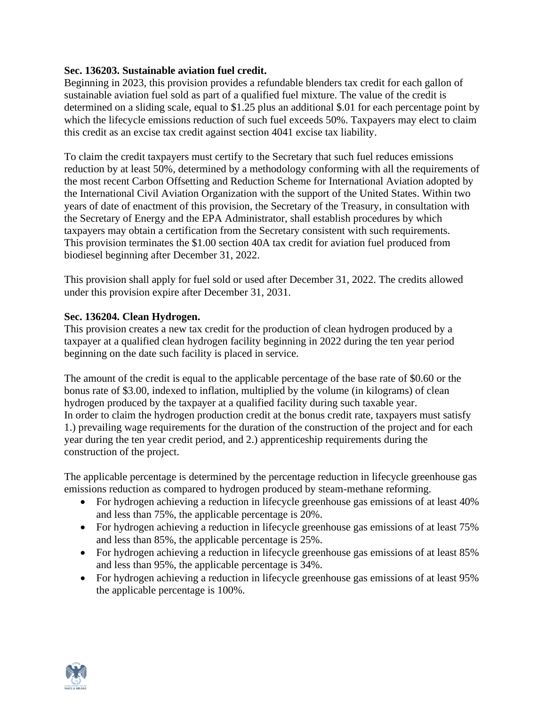#### **Sec. 136203. Sustainable aviation fuel credit.**

Beginning in 2023, this provision provides a refundable blenders tax credit for each gallon of sustainable aviation fuel sold as part of a qualified fuel mixture. The value of the credit is determined on a sliding scale, equal to \$1.25 plus an additional \$.01 for each percentage point by which the lifecycle emissions reduction of such fuel exceeds 50%. Taxpayers may elect to claim this credit as an excise tax credit against section 4041 excise tax liability.

To claim the credit taxpayers must certify to the Secretary that such fuel reduces emissions reduction by at least 50%, determined by a methodology conforming with all the requirements of the most recent Carbon Offsetting and Reduction Scheme for International Aviation adopted by the International Civil Aviation Organization with the support of the United States. Within two years of date of enactment of this provision, the Secretary of the Treasury, in consultation with the Secretary of Energy and the EPA Administrator, shall establish procedures by which taxpayers may obtain a certification from the Secretary consistent with such requirements. This provision terminates the \$1.00 section 40A tax credit for aviation fuel produced from biodiesel beginning after December 31, 2022.

This provision shall apply for fuel sold or used after December 31, 2022. The credits allowed under this provision expire after December 31, 2031.

#### **Sec. 136204. Clean Hydrogen.**

This provision creates a new tax credit for the production of clean hydrogen produced by a taxpayer at a qualified clean hydrogen facility beginning in 2022 during the ten year period beginning on the date such facility is placed in service.

The amount of the credit is equal to the applicable percentage of the base rate of \$0.60 or the bonus rate of \$3.00, indexed to inflation, multiplied by the volume (in kilograms) of clean hydrogen produced by the taxpayer at a qualified facility during such taxable year. In order to claim the hydrogen production credit at the bonus credit rate, taxpayers must satisfy 1.) prevailing wage requirements for the duration of the construction of the project and for each year during the ten year credit period, and 2.) apprenticeship requirements during the construction of the project.

The applicable percentage is determined by the percentage reduction in lifecycle greenhouse gas emissions reduction as compared to hydrogen produced by steam-methane reforming.

- For hydrogen achieving a reduction in lifecycle greenhouse gas emissions of at least 40% and less than 75%, the applicable percentage is 20%.
- For hydrogen achieving a reduction in lifecycle greenhouse gas emissions of at least 75% and less than 85%, the applicable percentage is 25%.
- For hydrogen achieving a reduction in lifecycle greenhouse gas emissions of at least 85% and less than 95%, the applicable percentage is 34%.
- For hydrogen achieving a reduction in lifecycle greenhouse gas emissions of at least 95% the applicable percentage is 100%.

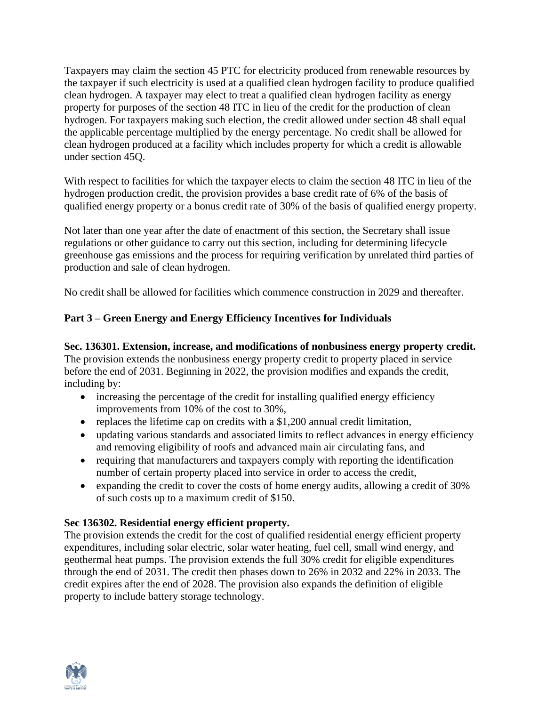Taxpayers may claim the section 45 PTC for electricity produced from renewable resources by the taxpayer if such electricity is used at a qualified clean hydrogen facility to produce qualified clean hydrogen. A taxpayer may elect to treat a qualified clean hydrogen facility as energy property for purposes of the section 48 ITC in lieu of the credit for the production of clean hydrogen. For taxpayers making such election, the credit allowed under section 48 shall equal the applicable percentage multiplied by the energy percentage. No credit shall be allowed for clean hydrogen produced at a facility which includes property for which a credit is allowable under section 45Q.

With respect to facilities for which the taxpayer elects to claim the section 48 ITC in lieu of the hydrogen production credit, the provision provides a base credit rate of 6% of the basis of qualified energy property or a bonus credit rate of 30% of the basis of qualified energy property.

Not later than one year after the date of enactment of this section, the Secretary shall issue regulations or other guidance to carry out this section, including for determining lifecycle greenhouse gas emissions and the process for requiring verification by unrelated third parties of production and sale of clean hydrogen.

No credit shall be allowed for facilities which commence construction in 2029 and thereafter.

## **Part 3 – Green Energy and Energy Efficiency Incentives for Individuals**

**Sec. 136301. Extension, increase, and modifications of nonbusiness energy property credit.** The provision extends the nonbusiness energy property credit to property placed in service before the end of 2031. Beginning in 2022, the provision modifies and expands the credit, including by:

- increasing the percentage of the credit for installing qualified energy efficiency improvements from 10% of the cost to 30%,
- replaces the lifetime cap on credits with a \$1,200 annual credit limitation,
- updating various standards and associated limits to reflect advances in energy efficiency and removing eligibility of roofs and advanced main air circulating fans, and
- requiring that manufacturers and taxpayers comply with reporting the identification number of certain property placed into service in order to access the credit,
- expanding the credit to cover the costs of home energy audits, allowing a credit of 30% of such costs up to a maximum credit of \$150.

## **Sec 136302. Residential energy efficient property.**

The provision extends the credit for the cost of qualified residential energy efficient property expenditures, including solar electric, solar water heating, fuel cell, small wind energy, and geothermal heat pumps. The provision extends the full 30% credit for eligible expenditures through the end of 2031. The credit then phases down to 26% in 2032 and 22% in 2033. The credit expires after the end of 2028. The provision also expands the definition of eligible property to include battery storage technology.

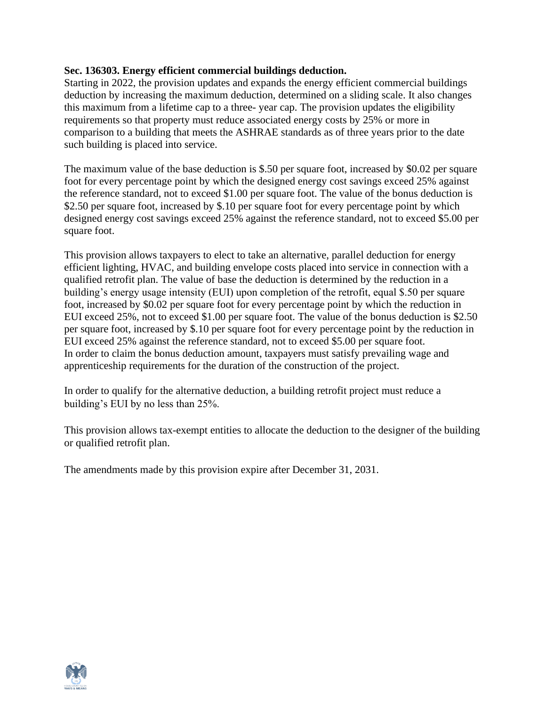### **Sec. 136303. Energy efficient commercial buildings deduction.**

Starting in 2022, the provision updates and expands the energy efficient commercial buildings deduction by increasing the maximum deduction, determined on a sliding scale. It also changes this maximum from a lifetime cap to a three- year cap. The provision updates the eligibility requirements so that property must reduce associated energy costs by 25% or more in comparison to a building that meets the ASHRAE standards as of three years prior to the date such building is placed into service.

The maximum value of the base deduction is \$.50 per square foot, increased by \$0.02 per square foot for every percentage point by which the designed energy cost savings exceed 25% against the reference standard, not to exceed \$1.00 per square foot. The value of the bonus deduction is \$2.50 per square foot, increased by \$.10 per square foot for every percentage point by which designed energy cost savings exceed 25% against the reference standard, not to exceed \$5.00 per square foot.

This provision allows taxpayers to elect to take an alternative, parallel deduction for energy efficient lighting, HVAC, and building envelope costs placed into service in connection with a qualified retrofit plan. The value of base the deduction is determined by the reduction in a building's energy usage intensity (EUI) upon completion of the retrofit, equal \$.50 per square foot, increased by \$0.02 per square foot for every percentage point by which the reduction in EUI exceed 25%, not to exceed \$1.00 per square foot. The value of the bonus deduction is \$2.50 per square foot, increased by \$.10 per square foot for every percentage point by the reduction in EUI exceed 25% against the reference standard, not to exceed \$5.00 per square foot. In order to claim the bonus deduction amount, taxpayers must satisfy prevailing wage and apprenticeship requirements for the duration of the construction of the project.

In order to qualify for the alternative deduction, a building retrofit project must reduce a building's EUI by no less than 25%.

This provision allows tax-exempt entities to allocate the deduction to the designer of the building or qualified retrofit plan.

The amendments made by this provision expire after December 31, 2031.

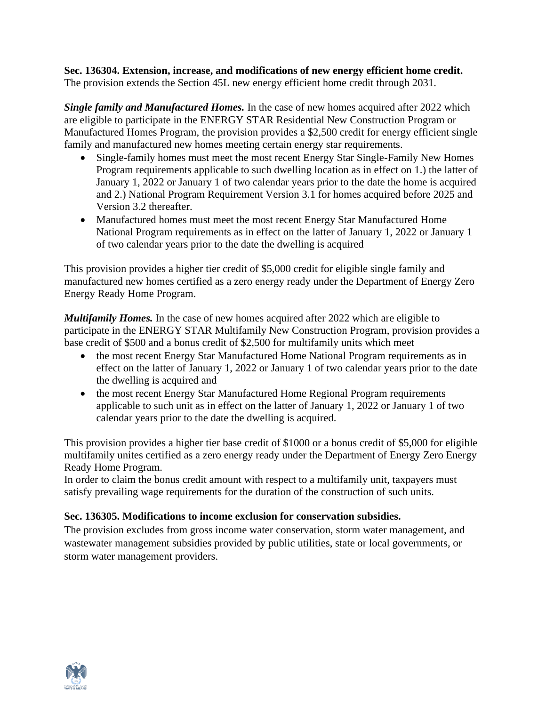**Sec. 136304. Extension, increase, and modifications of new energy efficient home credit.** The provision extends the Section 45L new energy efficient home credit through 2031.

*Single family and Manufactured Homes.* In the case of new homes acquired after 2022 which are eligible to participate in the ENERGY STAR Residential New Construction Program or Manufactured Homes Program, the provision provides a \$2,500 credit for energy efficient single family and manufactured new homes meeting certain energy star requirements.

- Single-family homes must meet the most recent Energy Star Single-Family New Homes Program requirements applicable to such dwelling location as in effect on 1.) the latter of January 1, 2022 or January 1 of two calendar years prior to the date the home is acquired and 2.) National Program Requirement Version 3.1 for homes acquired before 2025 and Version 3.2 thereafter.
- Manufactured homes must meet the most recent Energy Star Manufactured Home National Program requirements as in effect on the latter of January 1, 2022 or January 1 of two calendar years prior to the date the dwelling is acquired

This provision provides a higher tier credit of \$5,000 credit for eligible single family and manufactured new homes certified as a zero energy ready under the Department of Energy Zero Energy Ready Home Program.

*Multifamily Homes.* In the case of new homes acquired after 2022 which are eligible to participate in the ENERGY STAR Multifamily New Construction Program, provision provides a base credit of \$500 and a bonus credit of \$2,500 for multifamily units which meet

- the most recent Energy Star Manufactured Home National Program requirements as in effect on the latter of January 1, 2022 or January 1 of two calendar years prior to the date the dwelling is acquired and
- the most recent Energy Star Manufactured Home Regional Program requirements applicable to such unit as in effect on the latter of January 1, 2022 or January 1 of two calendar years prior to the date the dwelling is acquired.

This provision provides a higher tier base credit of \$1000 or a bonus credit of \$5,000 for eligible multifamily unites certified as a zero energy ready under the Department of Energy Zero Energy Ready Home Program.

In order to claim the bonus credit amount with respect to a multifamily unit, taxpayers must satisfy prevailing wage requirements for the duration of the construction of such units.

## **Sec. 136305. Modifications to income exclusion for conservation subsidies.**

The provision excludes from gross income water conservation, storm water management, and wastewater management subsidies provided by public utilities, state or local governments, or storm water management providers.

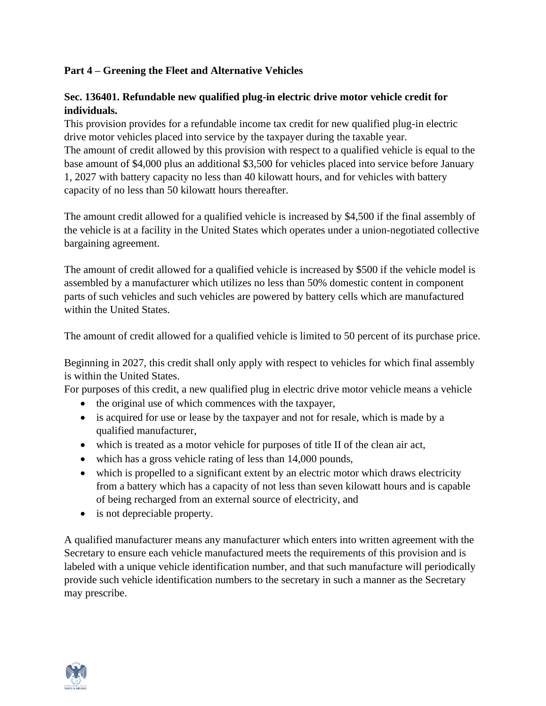## **Part 4 – Greening the Fleet and Alternative Vehicles**

## **Sec. 136401. Refundable new qualified plug-in electric drive motor vehicle credit for individuals.**

This provision provides for a refundable income tax credit for new qualified plug-in electric drive motor vehicles placed into service by the taxpayer during the taxable year. The amount of credit allowed by this provision with respect to a qualified vehicle is equal to the base amount of \$4,000 plus an additional \$3,500 for vehicles placed into service before January 1, 2027 with battery capacity no less than 40 kilowatt hours, and for vehicles with battery capacity of no less than 50 kilowatt hours thereafter.

The amount credit allowed for a qualified vehicle is increased by \$4,500 if the final assembly of the vehicle is at a facility in the United States which operates under a union-negotiated collective bargaining agreement.

The amount of credit allowed for a qualified vehicle is increased by \$500 if the vehicle model is assembled by a manufacturer which utilizes no less than 50% domestic content in component parts of such vehicles and such vehicles are powered by battery cells which are manufactured within the United States.

The amount of credit allowed for a qualified vehicle is limited to 50 percent of its purchase price.

Beginning in 2027, this credit shall only apply with respect to vehicles for which final assembly is within the United States.

For purposes of this credit, a new qualified plug in electric drive motor vehicle means a vehicle

- the original use of which commences with the taxpayer,
- is acquired for use or lease by the taxpayer and not for resale, which is made by a qualified manufacturer,
- which is treated as a motor vehicle for purposes of title II of the clean air act,
- which has a gross vehicle rating of less than 14,000 pounds,
- which is propelled to a significant extent by an electric motor which draws electricity from a battery which has a capacity of not less than seven kilowatt hours and is capable of being recharged from an external source of electricity, and
- is not depreciable property.

A qualified manufacturer means any manufacturer which enters into written agreement with the Secretary to ensure each vehicle manufactured meets the requirements of this provision and is labeled with a unique vehicle identification number, and that such manufacture will periodically provide such vehicle identification numbers to the secretary in such a manner as the Secretary may prescribe.

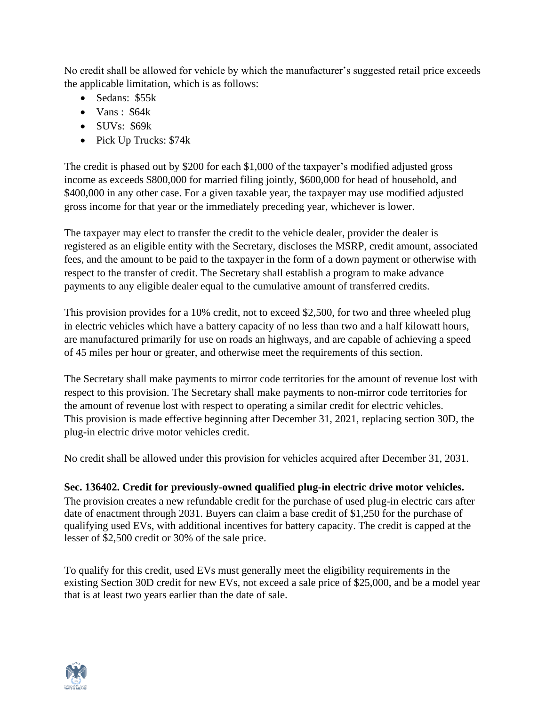No credit shall be allowed for vehicle by which the manufacturer's suggested retail price exceeds the applicable limitation, which is as follows:

- Sedans: \$55k
- Vans:  $$64k$
- SUVs: \$69k
- Pick Up Trucks: \$74k

The credit is phased out by \$200 for each \$1,000 of the taxpayer's modified adjusted gross income as exceeds \$800,000 for married filing jointly, \$600,000 for head of household, and \$400,000 in any other case. For a given taxable year, the taxpayer may use modified adjusted gross income for that year or the immediately preceding year, whichever is lower.

The taxpayer may elect to transfer the credit to the vehicle dealer, provider the dealer is registered as an eligible entity with the Secretary, discloses the MSRP, credit amount, associated fees, and the amount to be paid to the taxpayer in the form of a down payment or otherwise with respect to the transfer of credit. The Secretary shall establish a program to make advance payments to any eligible dealer equal to the cumulative amount of transferred credits.

This provision provides for a 10% credit, not to exceed \$2,500, for two and three wheeled plug in electric vehicles which have a battery capacity of no less than two and a half kilowatt hours, are manufactured primarily for use on roads an highways, and are capable of achieving a speed of 45 miles per hour or greater, and otherwise meet the requirements of this section.

The Secretary shall make payments to mirror code territories for the amount of revenue lost with respect to this provision. The Secretary shall make payments to non-mirror code territories for the amount of revenue lost with respect to operating a similar credit for electric vehicles. This provision is made effective beginning after December 31, 2021, replacing section 30D, the plug-in electric drive motor vehicles credit.

No credit shall be allowed under this provision for vehicles acquired after December 31, 2031.

#### **Sec. 136402. Credit for previously-owned qualified plug-in electric drive motor vehicles.** The provision creates a new refundable credit for the purchase of used plug-in electric cars after

date of enactment through 2031. Buyers can claim a base credit of \$1,250 for the purchase of qualifying used EVs, with additional incentives for battery capacity. The credit is capped at the lesser of \$2,500 credit or 30% of the sale price.

To qualify for this credit, used EVs must generally meet the eligibility requirements in the existing Section 30D credit for new EVs, not exceed a sale price of \$25,000, and be a model year that is at least two years earlier than the date of sale.

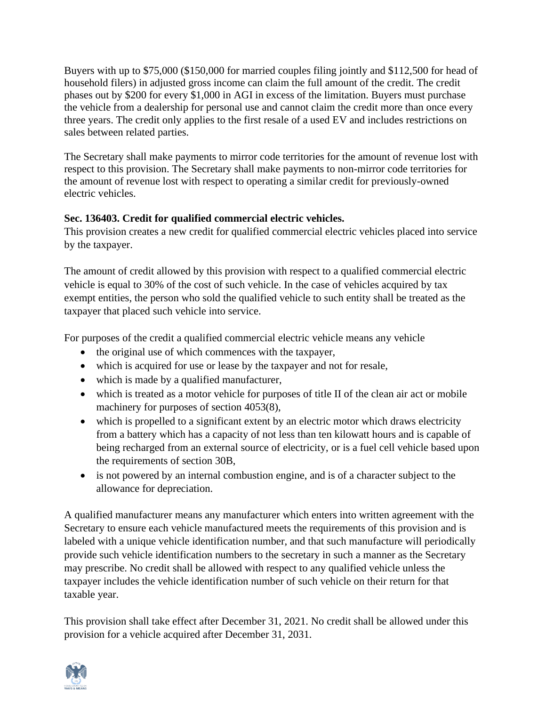Buyers with up to \$75,000 (\$150,000 for married couples filing jointly and \$112,500 for head of household filers) in adjusted gross income can claim the full amount of the credit. The credit phases out by \$200 for every \$1,000 in AGI in excess of the limitation. Buyers must purchase the vehicle from a dealership for personal use and cannot claim the credit more than once every three years. The credit only applies to the first resale of a used EV and includes restrictions on sales between related parties.

The Secretary shall make payments to mirror code territories for the amount of revenue lost with respect to this provision. The Secretary shall make payments to non-mirror code territories for the amount of revenue lost with respect to operating a similar credit for previously-owned electric vehicles.

## **Sec. 136403. Credit for qualified commercial electric vehicles.**

This provision creates a new credit for qualified commercial electric vehicles placed into service by the taxpayer.

The amount of credit allowed by this provision with respect to a qualified commercial electric vehicle is equal to 30% of the cost of such vehicle. In the case of vehicles acquired by tax exempt entities, the person who sold the qualified vehicle to such entity shall be treated as the taxpayer that placed such vehicle into service.

For purposes of the credit a qualified commercial electric vehicle means any vehicle

- the original use of which commences with the taxpayer,
- which is acquired for use or lease by the taxpayer and not for resale,
- which is made by a qualified manufacturer,
- which is treated as a motor vehicle for purposes of title II of the clean air act or mobile machinery for purposes of section 4053(8),
- which is propelled to a significant extent by an electric motor which draws electricity from a battery which has a capacity of not less than ten kilowatt hours and is capable of being recharged from an external source of electricity, or is a fuel cell vehicle based upon the requirements of section 30B,
- is not powered by an internal combustion engine, and is of a character subject to the allowance for depreciation.

A qualified manufacturer means any manufacturer which enters into written agreement with the Secretary to ensure each vehicle manufactured meets the requirements of this provision and is labeled with a unique vehicle identification number, and that such manufacture will periodically provide such vehicle identification numbers to the secretary in such a manner as the Secretary may prescribe. No credit shall be allowed with respect to any qualified vehicle unless the taxpayer includes the vehicle identification number of such vehicle on their return for that taxable year.

This provision shall take effect after December 31, 2021. No credit shall be allowed under this provision for a vehicle acquired after December 31, 2031.

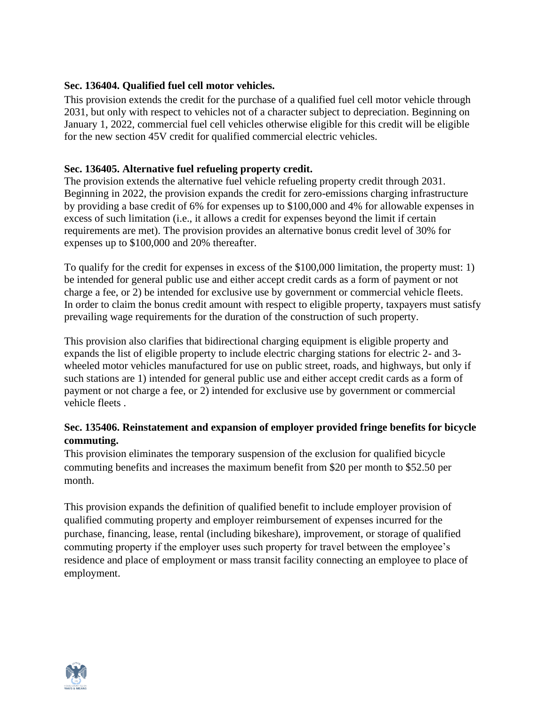## **Sec. 136404. Qualified fuel cell motor vehicles.**

This provision extends the credit for the purchase of a qualified fuel cell motor vehicle through 2031, but only with respect to vehicles not of a character subject to depreciation. Beginning on January 1, 2022, commercial fuel cell vehicles otherwise eligible for this credit will be eligible for the new section 45V credit for qualified commercial electric vehicles.

## **Sec. 136405. Alternative fuel refueling property credit.**

The provision extends the alternative fuel vehicle refueling property credit through 2031. Beginning in 2022, the provision expands the credit for zero-emissions charging infrastructure by providing a base credit of 6% for expenses up to \$100,000 and 4% for allowable expenses in excess of such limitation (i.e., it allows a credit for expenses beyond the limit if certain requirements are met). The provision provides an alternative bonus credit level of 30% for expenses up to \$100,000 and 20% thereafter.

To qualify for the credit for expenses in excess of the \$100,000 limitation, the property must: 1) be intended for general public use and either accept credit cards as a form of payment or not charge a fee, or 2) be intended for exclusive use by government or commercial vehicle fleets. In order to claim the bonus credit amount with respect to eligible property, taxpayers must satisfy prevailing wage requirements for the duration of the construction of such property.

This provision also clarifies that bidirectional charging equipment is eligible property and expands the list of eligible property to include electric charging stations for electric 2- and 3 wheeled motor vehicles manufactured for use on public street, roads, and highways, but only if such stations are 1) intended for general public use and either accept credit cards as a form of payment or not charge a fee, or 2) intended for exclusive use by government or commercial vehicle fleets .

## **Sec. 135406. Reinstatement and expansion of employer provided fringe benefits for bicycle commuting.**

This provision eliminates the temporary suspension of the exclusion for qualified bicycle commuting benefits and increases the maximum benefit from \$20 per month to \$52.50 per month.

This provision expands the definition of qualified benefit to include employer provision of qualified commuting property and employer reimbursement of expenses incurred for the purchase, financing, lease, rental (including bikeshare), improvement, or storage of qualified commuting property if the employer uses such property for travel between the employee's residence and place of employment or mass transit facility connecting an employee to place of employment.

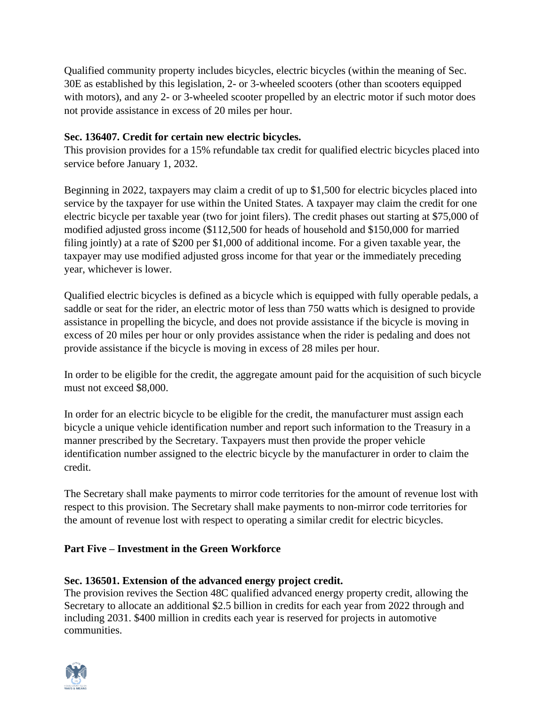Qualified community property includes bicycles, electric bicycles (within the meaning of Sec. 30E as established by this legislation, 2- or 3-wheeled scooters (other than scooters equipped with motors), and any 2- or 3-wheeled scooter propelled by an electric motor if such motor does not provide assistance in excess of 20 miles per hour.

## **Sec. 136407. Credit for certain new electric bicycles.**

This provision provides for a 15% refundable tax credit for qualified electric bicycles placed into service before January 1, 2032.

Beginning in 2022, taxpayers may claim a credit of up to \$1,500 for electric bicycles placed into service by the taxpayer for use within the United States. A taxpayer may claim the credit for one electric bicycle per taxable year (two for joint filers). The credit phases out starting at \$75,000 of modified adjusted gross income (\$112,500 for heads of household and \$150,000 for married filing jointly) at a rate of \$200 per \$1,000 of additional income. For a given taxable year, the taxpayer may use modified adjusted gross income for that year or the immediately preceding year, whichever is lower.

Qualified electric bicycles is defined as a bicycle which is equipped with fully operable pedals, a saddle or seat for the rider, an electric motor of less than 750 watts which is designed to provide assistance in propelling the bicycle, and does not provide assistance if the bicycle is moving in excess of 20 miles per hour or only provides assistance when the rider is pedaling and does not provide assistance if the bicycle is moving in excess of 28 miles per hour.

In order to be eligible for the credit, the aggregate amount paid for the acquisition of such bicycle must not exceed \$8,000.

In order for an electric bicycle to be eligible for the credit, the manufacturer must assign each bicycle a unique vehicle identification number and report such information to the Treasury in a manner prescribed by the Secretary. Taxpayers must then provide the proper vehicle identification number assigned to the electric bicycle by the manufacturer in order to claim the credit.

The Secretary shall make payments to mirror code territories for the amount of revenue lost with respect to this provision. The Secretary shall make payments to non-mirror code territories for the amount of revenue lost with respect to operating a similar credit for electric bicycles.

## **Part Five – Investment in the Green Workforce**

## **Sec. 136501. Extension of the advanced energy project credit.**

The provision revives the Section 48C qualified advanced energy property credit, allowing the Secretary to allocate an additional \$2.5 billion in credits for each year from 2022 through and including 2031. \$400 million in credits each year is reserved for projects in automotive communities.

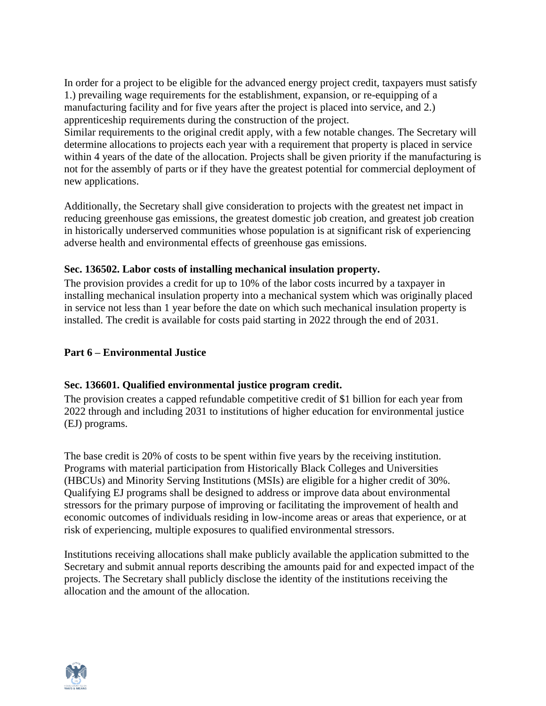In order for a project to be eligible for the advanced energy project credit, taxpayers must satisfy 1.) prevailing wage requirements for the establishment, expansion, or re-equipping of a manufacturing facility and for five years after the project is placed into service, and 2.) apprenticeship requirements during the construction of the project.

Similar requirements to the original credit apply, with a few notable changes. The Secretary will determine allocations to projects each year with a requirement that property is placed in service within 4 years of the date of the allocation. Projects shall be given priority if the manufacturing is not for the assembly of parts or if they have the greatest potential for commercial deployment of new applications.

Additionally, the Secretary shall give consideration to projects with the greatest net impact in reducing greenhouse gas emissions, the greatest domestic job creation, and greatest job creation in historically underserved communities whose population is at significant risk of experiencing adverse health and environmental effects of greenhouse gas emissions.

## **Sec. 136502. Labor costs of installing mechanical insulation property.**

The provision provides a credit for up to 10% of the labor costs incurred by a taxpayer in installing mechanical insulation property into a mechanical system which was originally placed in service not less than 1 year before the date on which such mechanical insulation property is installed. The credit is available for costs paid starting in 2022 through the end of 2031.

## **Part 6 – Environmental Justice**

## **Sec. 136601. Qualified environmental justice program credit.**

The provision creates a capped refundable competitive credit of \$1 billion for each year from 2022 through and including 2031 to institutions of higher education for environmental justice (EJ) programs.

The base credit is 20% of costs to be spent within five years by the receiving institution. Programs with material participation from Historically Black Colleges and Universities (HBCUs) and Minority Serving Institutions (MSIs) are eligible for a higher credit of 30%. Qualifying EJ programs shall be designed to address or improve data about environmental stressors for the primary purpose of improving or facilitating the improvement of health and economic outcomes of individuals residing in low-income areas or areas that experience, or at risk of experiencing, multiple exposures to qualified environmental stressors.

Institutions receiving allocations shall make publicly available the application submitted to the Secretary and submit annual reports describing the amounts paid for and expected impact of the projects. The Secretary shall publicly disclose the identity of the institutions receiving the allocation and the amount of the allocation.

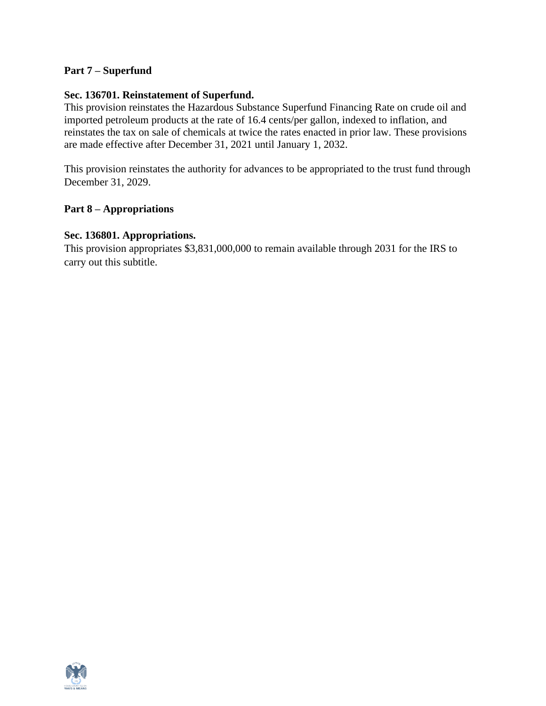### **Part 7 – Superfund**

#### **Sec. 136701. Reinstatement of Superfund.**

This provision reinstates the Hazardous Substance Superfund Financing Rate on crude oil and imported petroleum products at the rate of 16.4 cents/per gallon, indexed to inflation, and reinstates the tax on sale of chemicals at twice the rates enacted in prior law. These provisions are made effective after December 31, 2021 until January 1, 2032.

This provision reinstates the authority for advances to be appropriated to the trust fund through December 31, 2029.

#### **Part 8 – Appropriations**

#### **Sec. 136801. Appropriations.**

This provision appropriates \$3,831,000,000 to remain available through 2031 for the IRS to carry out this subtitle.

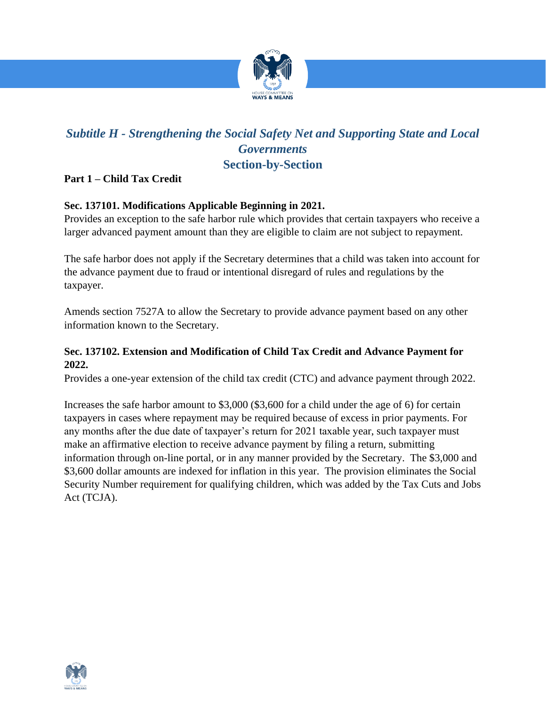

# *Subtitle H - Strengthening the Social Safety Net and Supporting State and Local Governments*  **Section-by-Section**

## **Part 1 – Child Tax Credit**

## **Sec. 137101. Modifications Applicable Beginning in 2021.**

Provides an exception to the safe harbor rule which provides that certain taxpayers who receive a larger advanced payment amount than they are eligible to claim are not subject to repayment.

The safe harbor does not apply if the Secretary determines that a child was taken into account for the advance payment due to fraud or intentional disregard of rules and regulations by the taxpayer.

Amends section 7527A to allow the Secretary to provide advance payment based on any other information known to the Secretary.

## **Sec. 137102. Extension and Modification of Child Tax Credit and Advance Payment for 2022.**

Provides a one-year extension of the child tax credit (CTC) and advance payment through 2022.

Increases the safe harbor amount to \$3,000 (\$3,600 for a child under the age of 6) for certain taxpayers in cases where repayment may be required because of excess in prior payments. For any months after the due date of taxpayer's return for 2021 taxable year, such taxpayer must make an affirmative election to receive advance payment by filing a return, submitting information through on-line portal, or in any manner provided by the Secretary. The \$3,000 and \$3,600 dollar amounts are indexed for inflation in this year. The provision eliminates the Social Security Number requirement for qualifying children, which was added by the Tax Cuts and Jobs Act (TCJA).

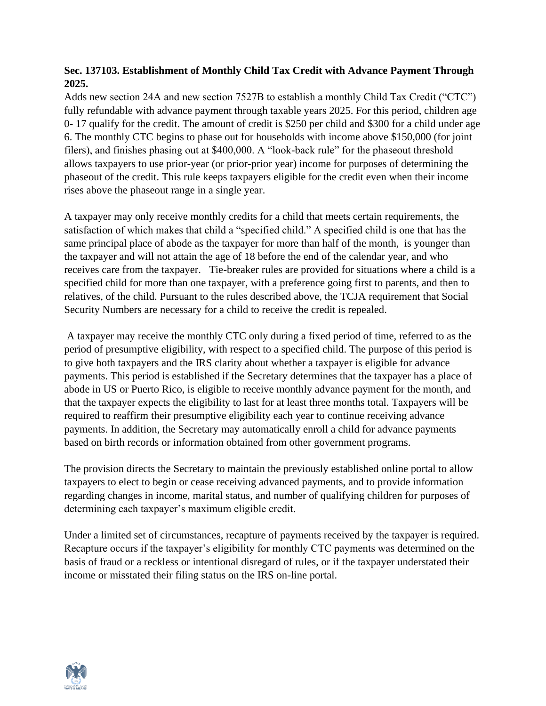## **Sec. 137103. Establishment of Monthly Child Tax Credit with Advance Payment Through 2025.**

Adds new section 24A and new section 7527B to establish a monthly Child Tax Credit ("CTC") fully refundable with advance payment through taxable years 2025. For this period, children age 0- 17 qualify for the credit. The amount of credit is \$250 per child and \$300 for a child under age 6. The monthly CTC begins to phase out for households with income above \$150,000 (for joint filers), and finishes phasing out at \$400,000. A "look-back rule" for the phaseout threshold allows taxpayers to use prior-year (or prior-prior year) income for purposes of determining the phaseout of the credit. This rule keeps taxpayers eligible for the credit even when their income rises above the phaseout range in a single year.

A taxpayer may only receive monthly credits for a child that meets certain requirements, the satisfaction of which makes that child a "specified child." A specified child is one that has the same principal place of abode as the taxpayer for more than half of the month, is younger than the taxpayer and will not attain the age of 18 before the end of the calendar year, and who receives care from the taxpayer. Tie-breaker rules are provided for situations where a child is a specified child for more than one taxpayer, with a preference going first to parents, and then to relatives, of the child. Pursuant to the rules described above, the TCJA requirement that Social Security Numbers are necessary for a child to receive the credit is repealed.

A taxpayer may receive the monthly CTC only during a fixed period of time, referred to as the period of presumptive eligibility, with respect to a specified child. The purpose of this period is to give both taxpayers and the IRS clarity about whether a taxpayer is eligible for advance payments. This period is established if the Secretary determines that the taxpayer has a place of abode in US or Puerto Rico, is eligible to receive monthly advance payment for the month, and that the taxpayer expects the eligibility to last for at least three months total. Taxpayers will be required to reaffirm their presumptive eligibility each year to continue receiving advance payments. In addition, the Secretary may automatically enroll a child for advance payments based on birth records or information obtained from other government programs.

The provision directs the Secretary to maintain the previously established online portal to allow taxpayers to elect to begin or cease receiving advanced payments, and to provide information regarding changes in income, marital status, and number of qualifying children for purposes of determining each taxpayer's maximum eligible credit.

Under a limited set of circumstances, recapture of payments received by the taxpayer is required. Recapture occurs if the taxpayer's eligibility for monthly CTC payments was determined on the basis of fraud or a reckless or intentional disregard of rules, or if the taxpayer understated their income or misstated their filing status on the IRS on-line portal.

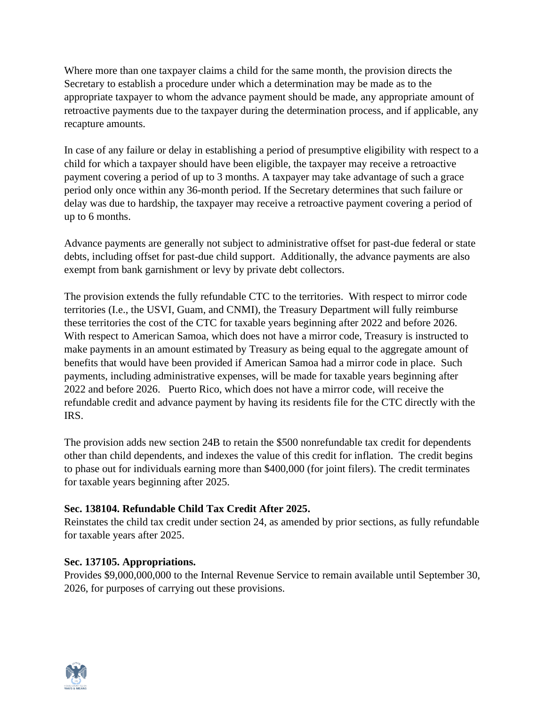Where more than one taxpayer claims a child for the same month, the provision directs the Secretary to establish a procedure under which a determination may be made as to the appropriate taxpayer to whom the advance payment should be made, any appropriate amount of retroactive payments due to the taxpayer during the determination process, and if applicable, any recapture amounts.

In case of any failure or delay in establishing a period of presumptive eligibility with respect to a child for which a taxpayer should have been eligible, the taxpayer may receive a retroactive payment covering a period of up to 3 months. A taxpayer may take advantage of such a grace period only once within any 36-month period. If the Secretary determines that such failure or delay was due to hardship, the taxpayer may receive a retroactive payment covering a period of up to 6 months.

Advance payments are generally not subject to administrative offset for past-due federal or state debts, including offset for past-due child support. Additionally, the advance payments are also exempt from bank garnishment or levy by private debt collectors.

The provision extends the fully refundable CTC to the territories. With respect to mirror code territories (I.e., the USVI, Guam, and CNMI), the Treasury Department will fully reimburse these territories the cost of the CTC for taxable years beginning after 2022 and before 2026. With respect to American Samoa, which does not have a mirror code, Treasury is instructed to make payments in an amount estimated by Treasury as being equal to the aggregate amount of benefits that would have been provided if American Samoa had a mirror code in place. Such payments, including administrative expenses, will be made for taxable years beginning after 2022 and before 2026. Puerto Rico, which does not have a mirror code, will receive the refundable credit and advance payment by having its residents file for the CTC directly with the IRS.

The provision adds new section 24B to retain the \$500 nonrefundable tax credit for dependents other than child dependents, and indexes the value of this credit for inflation. The credit begins to phase out for individuals earning more than \$400,000 (for joint filers). The credit terminates for taxable years beginning after 2025.

## **Sec. 138104. Refundable Child Tax Credit After 2025.**

Reinstates the child tax credit under section 24, as amended by prior sections, as fully refundable for taxable years after 2025.

## **Sec. 137105. Appropriations.**

Provides \$9,000,000,000 to the Internal Revenue Service to remain available until September 30, 2026, for purposes of carrying out these provisions.

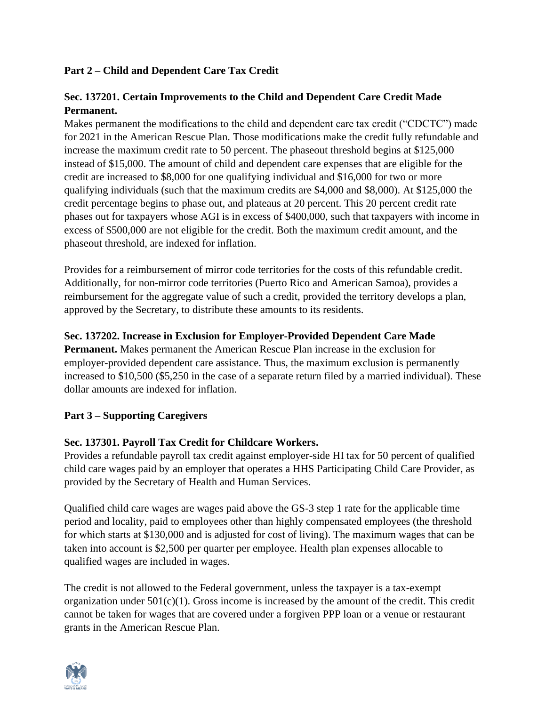## **Part 2 – Child and Dependent Care Tax Credit**

## **Sec. 137201. Certain Improvements to the Child and Dependent Care Credit Made Permanent.**

Makes permanent the modifications to the child and dependent care tax credit ("CDCTC") made for 2021 in the American Rescue Plan. Those modifications make the credit fully refundable and increase the maximum credit rate to 50 percent. The phaseout threshold begins at \$125,000 instead of \$15,000. The amount of child and dependent care expenses that are eligible for the credit are increased to \$8,000 for one qualifying individual and \$16,000 for two or more qualifying individuals (such that the maximum credits are \$4,000 and \$8,000). At \$125,000 the credit percentage begins to phase out, and plateaus at 20 percent. This 20 percent credit rate phases out for taxpayers whose AGI is in excess of \$400,000, such that taxpayers with income in excess of \$500,000 are not eligible for the credit. Both the maximum credit amount, and the phaseout threshold, are indexed for inflation.

Provides for a reimbursement of mirror code territories for the costs of this refundable credit. Additionally, for non-mirror code territories (Puerto Rico and American Samoa), provides a reimbursement for the aggregate value of such a credit, provided the territory develops a plan, approved by the Secretary, to distribute these amounts to its residents.

## **Sec. 137202. Increase in Exclusion for Employer-Provided Dependent Care Made**

**Permanent.** Makes permanent the American Rescue Plan increase in the exclusion for employer-provided dependent care assistance. Thus, the maximum exclusion is permanently increased to \$10,500 (\$5,250 in the case of a separate return filed by a married individual). These dollar amounts are indexed for inflation.

## **Part 3 – Supporting Caregivers**

## **Sec. 137301. Payroll Tax Credit for Childcare Workers.**

Provides a refundable payroll tax credit against employer-side HI tax for 50 percent of qualified child care wages paid by an employer that operates a HHS Participating Child Care Provider, as provided by the Secretary of Health and Human Services.

Qualified child care wages are wages paid above the GS-3 step 1 rate for the applicable time period and locality, paid to employees other than highly compensated employees (the threshold for which starts at \$130,000 and is adjusted for cost of living). The maximum wages that can be taken into account is \$2,500 per quarter per employee. Health plan expenses allocable to qualified wages are included in wages.

The credit is not allowed to the Federal government, unless the taxpayer is a tax-exempt organization under  $501(c)(1)$ . Gross income is increased by the amount of the credit. This credit cannot be taken for wages that are covered under a forgiven PPP loan or a venue or restaurant grants in the American Rescue Plan.

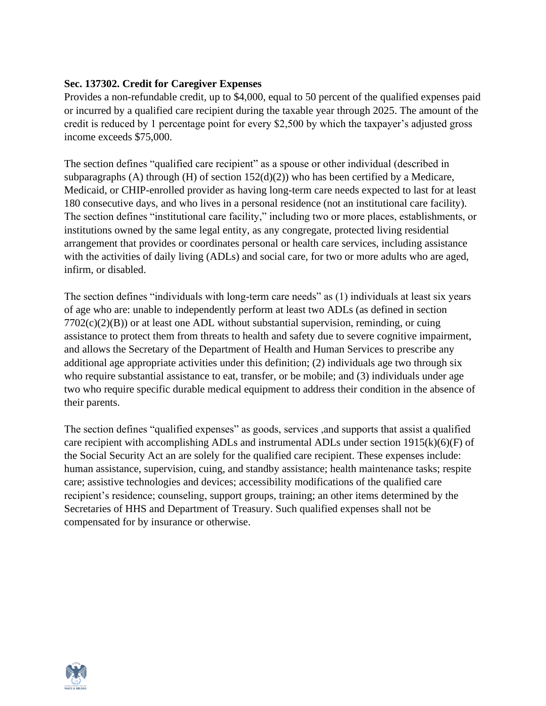## **Sec. 137302. Credit for Caregiver Expenses**

Provides a non-refundable credit, up to \$4,000, equal to 50 percent of the qualified expenses paid or incurred by a qualified care recipient during the taxable year through 2025. The amount of the credit is reduced by 1 percentage point for every \$2,500 by which the taxpayer's adjusted gross income exceeds \$75,000.

The section defines "qualified care recipient" as a spouse or other individual (described in subparagraphs (A) through (H) of section  $152(d)(2)$ ) who has been certified by a Medicare, Medicaid, or CHIP-enrolled provider as having long-term care needs expected to last for at least 180 consecutive days, and who lives in a personal residence (not an institutional care facility). The section defines "institutional care facility," including two or more places, establishments, or institutions owned by the same legal entity, as any congregate, protected living residential arrangement that provides or coordinates personal or health care services, including assistance with the activities of daily living (ADLs) and social care, for two or more adults who are aged, infirm, or disabled.

The section defines "individuals with long-term care needs" as (1) individuals at least six years of age who are: unable to independently perform at least two ADLs (as defined in section  $7702(c)(2)(B)$  or at least one ADL without substantial supervision, reminding, or cuing assistance to protect them from threats to health and safety due to severe cognitive impairment, and allows the Secretary of the Department of Health and Human Services to prescribe any additional age appropriate activities under this definition; (2) individuals age two through six who require substantial assistance to eat, transfer, or be mobile; and (3) individuals under age two who require specific durable medical equipment to address their condition in the absence of their parents.

The section defines "qualified expenses" as goods, services ,and supports that assist a qualified care recipient with accomplishing ADLs and instrumental ADLs under section 1915(k)(6)(F) of the Social Security Act an are solely for the qualified care recipient. These expenses include: human assistance, supervision, cuing, and standby assistance; health maintenance tasks; respite care; assistive technologies and devices; accessibility modifications of the qualified care recipient's residence; counseling, support groups, training; an other items determined by the Secretaries of HHS and Department of Treasury. Such qualified expenses shall not be compensated for by insurance or otherwise.

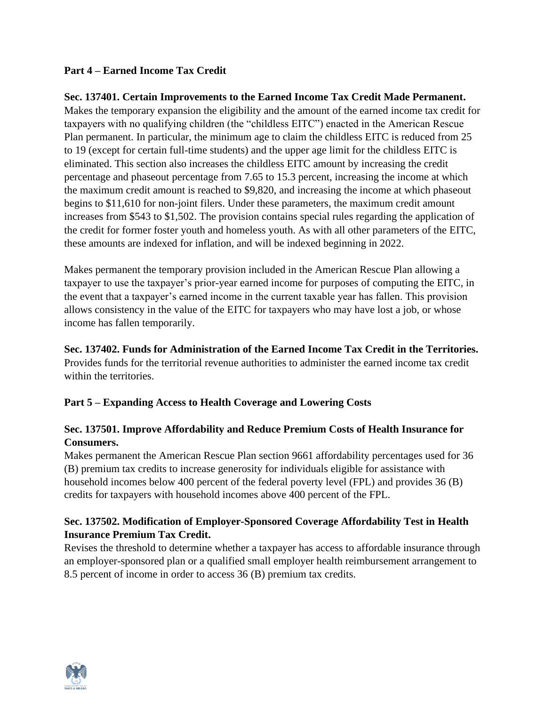## **Part 4 – Earned Income Tax Credit**

## **Sec. 137401. Certain Improvements to the Earned Income Tax Credit Made Permanent.**

Makes the temporary expansion the eligibility and the amount of the earned income tax credit for taxpayers with no qualifying children (the "childless EITC") enacted in the American Rescue Plan permanent. In particular, the minimum age to claim the childless EITC is reduced from 25 to 19 (except for certain full-time students) and the upper age limit for the childless EITC is eliminated. This section also increases the childless EITC amount by increasing the credit percentage and phaseout percentage from 7.65 to 15.3 percent, increasing the income at which the maximum credit amount is reached to \$9,820, and increasing the income at which phaseout begins to \$11,610 for non-joint filers. Under these parameters, the maximum credit amount increases from \$543 to \$1,502. The provision contains special rules regarding the application of the credit for former foster youth and homeless youth. As with all other parameters of the EITC, these amounts are indexed for inflation, and will be indexed beginning in 2022.

Makes permanent the temporary provision included in the American Rescue Plan allowing a taxpayer to use the taxpayer's prior-year earned income for purposes of computing the EITC, in the event that a taxpayer's earned income in the current taxable year has fallen. This provision allows consistency in the value of the EITC for taxpayers who may have lost a job, or whose income has fallen temporarily.

**Sec. 137402. Funds for Administration of the Earned Income Tax Credit in the Territories.**  Provides funds for the territorial revenue authorities to administer the earned income tax credit within the territories.

## **Part 5 – Expanding Access to Health Coverage and Lowering Costs**

## **Sec. 137501. Improve Affordability and Reduce Premium Costs of Health Insurance for Consumers.**

Makes permanent the American Rescue Plan section 9661 affordability percentages used for 36 (B) premium tax credits to increase generosity for individuals eligible for assistance with household incomes below 400 percent of the federal poverty level (FPL) and provides 36 (B) credits for taxpayers with household incomes above 400 percent of the FPL.

## **Sec. 137502. Modification of Employer-Sponsored Coverage Affordability Test in Health Insurance Premium Tax Credit.**

Revises the threshold to determine whether a taxpayer has access to affordable insurance through an employer-sponsored plan or a qualified small employer health reimbursement arrangement to 8.5 percent of income in order to access 36 (B) premium tax credits.

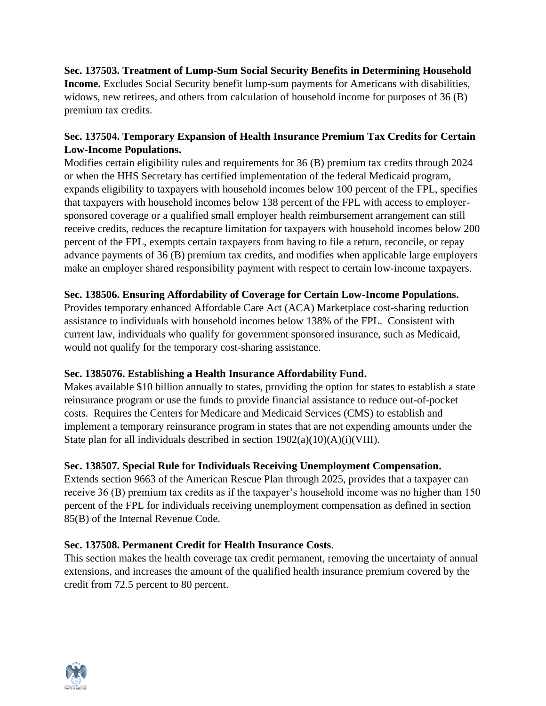**Sec. 137503. Treatment of Lump-Sum Social Security Benefits in Determining Household Income.** Excludes Social Security benefit lump-sum payments for Americans with disabilities, widows, new retirees, and others from calculation of household income for purposes of 36 (B) premium tax credits.

## **Sec. 137504. Temporary Expansion of Health Insurance Premium Tax Credits for Certain Low-Income Populations.**

Modifies certain eligibility rules and requirements for 36 (B) premium tax credits through 2024 or when the HHS Secretary has certified implementation of the federal Medicaid program, expands eligibility to taxpayers with household incomes below 100 percent of the FPL, specifies that taxpayers with household incomes below 138 percent of the FPL with access to employersponsored coverage or a qualified small employer health reimbursement arrangement can still receive credits, reduces the recapture limitation for taxpayers with household incomes below 200 percent of the FPL, exempts certain taxpayers from having to file a return, reconcile, or repay advance payments of 36 (B) premium tax credits, and modifies when applicable large employers make an employer shared responsibility payment with respect to certain low-income taxpayers.

## **Sec. 138506. Ensuring Affordability of Coverage for Certain Low-Income Populations.**

Provides temporary enhanced Affordable Care Act (ACA) Marketplace cost-sharing reduction assistance to individuals with household incomes below 138% of the FPL. Consistent with current law, individuals who qualify for government sponsored insurance, such as Medicaid, would not qualify for the temporary cost-sharing assistance.

## **Sec. 1385076. Establishing a Health Insurance Affordability Fund.**

Makes available \$10 billion annually to states, providing the option for states to establish a state reinsurance program or use the funds to provide financial assistance to reduce out-of-pocket costs. Requires the Centers for Medicare and Medicaid Services (CMS) to establish and implement a temporary reinsurance program in states that are not expending amounts under the State plan for all individuals described in section 1902(a)(10)(A)(i)(VIII).

## **Sec. 138507. Special Rule for Individuals Receiving Unemployment Compensation.**

Extends section 9663 of the American Rescue Plan through 2025, provides that a taxpayer can receive 36 (B) premium tax credits as if the taxpayer's household income was no higher than 150 percent of the FPL for individuals receiving unemployment compensation as defined in section 85(B) of the Internal Revenue Code.

## **Sec. 137508. Permanent Credit for Health Insurance Costs**.

This section makes the health coverage tax credit permanent, removing the uncertainty of annual extensions, and increases the amount of the qualified health insurance premium covered by the credit from 72.5 percent to 80 percent.

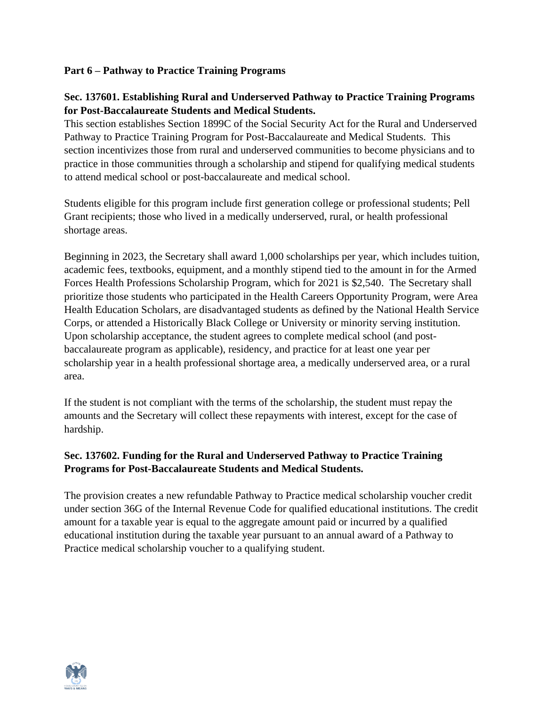## **Part 6 – Pathway to Practice Training Programs**

## **Sec. 137601. Establishing Rural and Underserved Pathway to Practice Training Programs for Post-Baccalaureate Students and Medical Students.**

This section establishes Section 1899C of the Social Security Act for the Rural and Underserved Pathway to Practice Training Program for Post-Baccalaureate and Medical Students. This section incentivizes those from rural and underserved communities to become physicians and to practice in those communities through a scholarship and stipend for qualifying medical students to attend medical school or post-baccalaureate and medical school.

Students eligible for this program include first generation college or professional students; Pell Grant recipients; those who lived in a medically underserved, rural, or health professional shortage areas.

Beginning in 2023, the Secretary shall award 1,000 scholarships per year, which includes tuition, academic fees, textbooks, equipment, and a monthly stipend tied to the amount in for the Armed Forces Health Professions Scholarship Program, which for 2021 is \$2,540. The Secretary shall prioritize those students who participated in the Health Careers Opportunity Program, were Area Health Education Scholars, are disadvantaged students as defined by the National Health Service Corps, or attended a Historically Black College or University or minority serving institution. Upon scholarship acceptance, the student agrees to complete medical school (and postbaccalaureate program as applicable), residency, and practice for at least one year per scholarship year in a health professional shortage area, a medically underserved area, or a rural area.

If the student is not compliant with the terms of the scholarship, the student must repay the amounts and the Secretary will collect these repayments with interest, except for the case of hardship.

## **Sec. 137602. Funding for the Rural and Underserved Pathway to Practice Training Programs for Post-Baccalaureate Students and Medical Students.**

The provision creates a new refundable Pathway to Practice medical scholarship voucher credit under section 36G of the Internal Revenue Code for qualified educational institutions. The credit amount for a taxable year is equal to the aggregate amount paid or incurred by a qualified educational institution during the taxable year pursuant to an annual award of a Pathway to Practice medical scholarship voucher to a qualifying student.

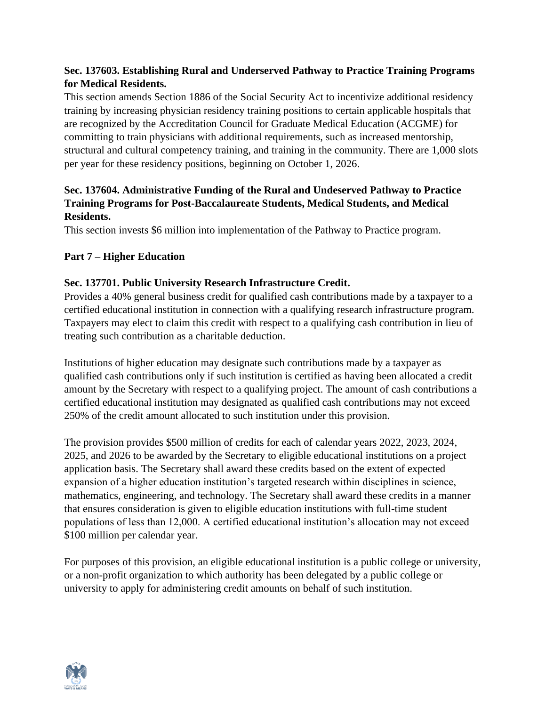## **Sec. 137603. Establishing Rural and Underserved Pathway to Practice Training Programs for Medical Residents.**

This section amends Section 1886 of the Social Security Act to incentivize additional residency training by increasing physician residency training positions to certain applicable hospitals that are recognized by the Accreditation Council for Graduate Medical Education (ACGME) for committing to train physicians with additional requirements, such as increased mentorship, structural and cultural competency training, and training in the community. There are 1,000 slots per year for these residency positions, beginning on October 1, 2026.

## **Sec. 137604. Administrative Funding of the Rural and Undeserved Pathway to Practice Training Programs for Post-Baccalaureate Students, Medical Students, and Medical Residents.**

This section invests \$6 million into implementation of the Pathway to Practice program.

## **Part 7 – Higher Education**

## **Sec. 137701. Public University Research Infrastructure Credit.**

Provides a 40% general business credit for qualified cash contributions made by a taxpayer to a certified educational institution in connection with a qualifying research infrastructure program. Taxpayers may elect to claim this credit with respect to a qualifying cash contribution in lieu of treating such contribution as a charitable deduction.

Institutions of higher education may designate such contributions made by a taxpayer as qualified cash contributions only if such institution is certified as having been allocated a credit amount by the Secretary with respect to a qualifying project. The amount of cash contributions a certified educational institution may designated as qualified cash contributions may not exceed 250% of the credit amount allocated to such institution under this provision.

The provision provides \$500 million of credits for each of calendar years 2022, 2023, 2024, 2025, and 2026 to be awarded by the Secretary to eligible educational institutions on a project application basis. The Secretary shall award these credits based on the extent of expected expansion of a higher education institution's targeted research within disciplines in science, mathematics, engineering, and technology. The Secretary shall award these credits in a manner that ensures consideration is given to eligible education institutions with full-time student populations of less than 12,000. A certified educational institution's allocation may not exceed \$100 million per calendar year.

For purposes of this provision, an eligible educational institution is a public college or university, or a non-profit organization to which authority has been delegated by a public college or university to apply for administering credit amounts on behalf of such institution.

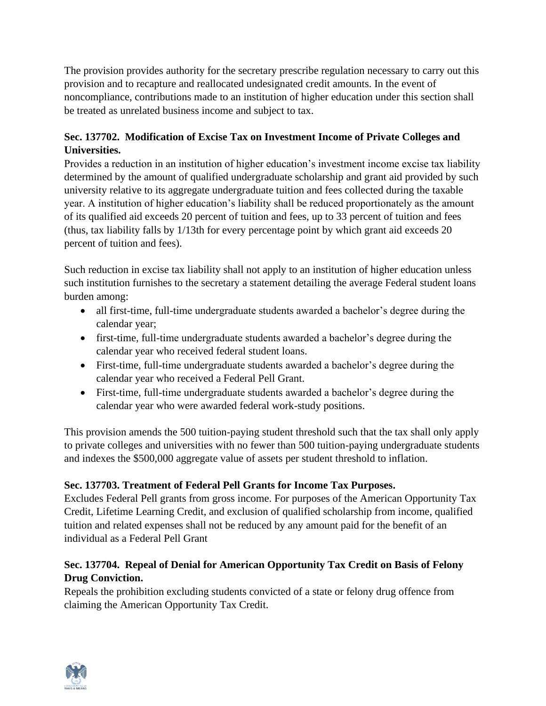The provision provides authority for the secretary prescribe regulation necessary to carry out this provision and to recapture and reallocated undesignated credit amounts. In the event of noncompliance, contributions made to an institution of higher education under this section shall be treated as unrelated business income and subject to tax.

## **Sec. 137702. Modification of Excise Tax on Investment Income of Private Colleges and Universities.**

Provides a reduction in an institution of higher education's investment income excise tax liability determined by the amount of qualified undergraduate scholarship and grant aid provided by such university relative to its aggregate undergraduate tuition and fees collected during the taxable year. A institution of higher education's liability shall be reduced proportionately as the amount of its qualified aid exceeds 20 percent of tuition and fees, up to 33 percent of tuition and fees (thus, tax liability falls by 1/13th for every percentage point by which grant aid exceeds 20 percent of tuition and fees).

Such reduction in excise tax liability shall not apply to an institution of higher education unless such institution furnishes to the secretary a statement detailing the average Federal student loans burden among:

- all first-time, full-time undergraduate students awarded a bachelor's degree during the calendar year;
- first-time, full-time undergraduate students awarded a bachelor's degree during the calendar year who received federal student loans.
- First-time, full-time undergraduate students awarded a bachelor's degree during the calendar year who received a Federal Pell Grant.
- First-time, full-time undergraduate students awarded a bachelor's degree during the calendar year who were awarded federal work-study positions.

This provision amends the 500 tuition-paying student threshold such that the tax shall only apply to private colleges and universities with no fewer than 500 tuition-paying undergraduate students and indexes the \$500,000 aggregate value of assets per student threshold to inflation.

## **Sec. 137703. Treatment of Federal Pell Grants for Income Tax Purposes.**

Excludes Federal Pell grants from gross income. For purposes of the American Opportunity Tax Credit, Lifetime Learning Credit, and exclusion of qualified scholarship from income, qualified tuition and related expenses shall not be reduced by any amount paid for the benefit of an individual as a Federal Pell Grant

## **Sec. 137704. Repeal of Denial for American Opportunity Tax Credit on Basis of Felony Drug Conviction.**

Repeals the prohibition excluding students convicted of a state or felony drug offence from claiming the American Opportunity Tax Credit.

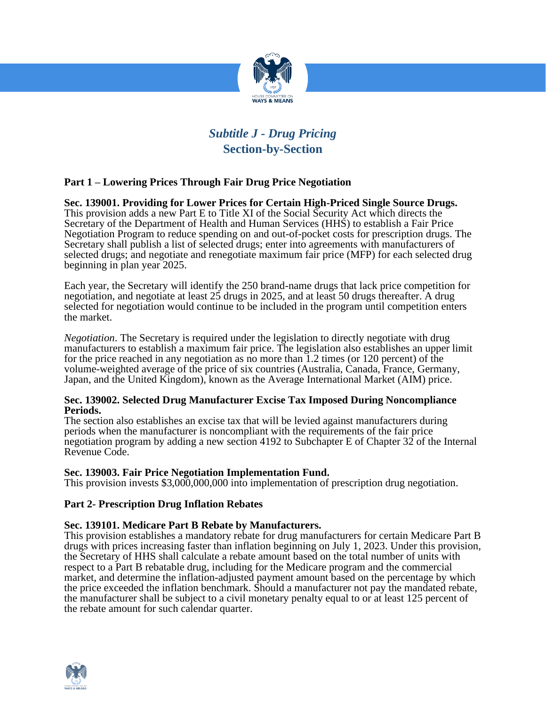

# *Subtitle J - Drug Pricing*  **Section-by-Section**

## **Part 1 – Lowering Prices Through Fair Drug Price Negotiation**

**Sec. 139001. Providing for Lower Prices for Certain High-Priced Single Source Drugs.**  This provision adds a new Part E to Title XI of the Social Security Act which directs the Secretary of the Department of Health and Human Services (HHS) to establish a Fair Price Negotiation Program to reduce spending on and out-of-pocket costs for prescription drugs. The Secretary shall publish a list of selected drugs; enter into agreements with manufacturers of selected drugs; and negotiate and renegotiate maximum fair price (MFP) for each selected drug beginning in plan year 2025.

Each year, the Secretary will identify the 250 brand-name drugs that lack price competition for negotiation, and negotiate at least 25 drugs in 2025, and at least 50 drugs thereafter. A drug selected for negotiation would continue to be included in the program until competition enters the market.

*Negotiation*. The Secretary is required under the legislation to directly negotiate with drug manufacturers to establish a maximum fair price. The legislation also establishes an upper limit for the price reached in any negotiation as no more than 1.2 times (or 120 percent) of the volume-weighted average of the price of six countries (Australia, Canada, France, Germany, Japan, and the United Kingdom), known as the Average International Market (AIM) price.

#### **Sec. 139002. Selected Drug Manufacturer Excise Tax Imposed During Noncompliance Periods.**

The section also establishes an excise tax that will be levied against manufacturers during periods when the manufacturer is noncompliant with the requirements of the fair price negotiation program by adding a new section 4192 to Subchapter E of Chapter 32 of the Internal Revenue Code.

#### **Sec. 139003. Fair Price Negotiation Implementation Fund.**

This provision invests \$3,000,000,000 into implementation of prescription drug negotiation.

## **Part 2- Prescription Drug Inflation Rebates**

#### **Sec. 139101. Medicare Part B Rebate by Manufacturers.**

This provision establishes a mandatory rebate for drug manufacturers for certain Medicare Part B drugs with prices increasing faster than inflation beginning on July 1, 2023. Under this provision, the Secretary of HHS shall calculate a rebate amount based on the total number of units with respect to a Part B rebatable drug, including for the Medicare program and the commercial market, and determine the inflation-adjusted payment amount based on the percentage by which the price exceeded the inflation benchmark. Should a manufacturer not pay the mandated rebate, the manufacturer shall be subject to a civil monetary penalty equal to or at least 125 percent of the rebate amount for such calendar quarter.